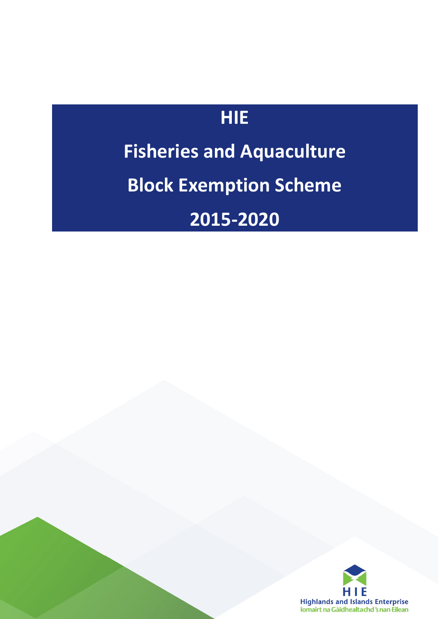# HIE

Fisheries and Aquaculture

Block Exemption Scheme

# 2015-2020

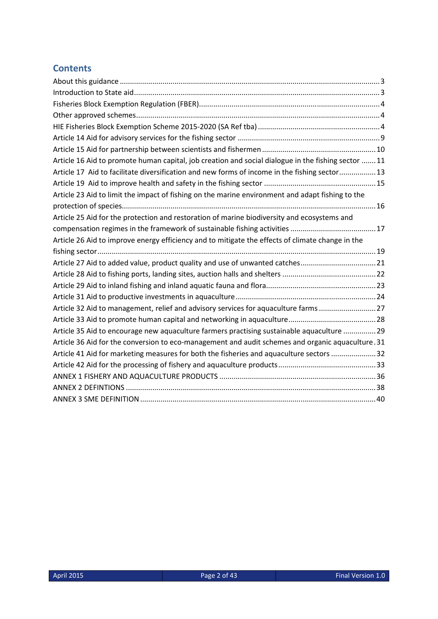# **Contents**

| Article 16 Aid to promote human capital, job creation and social dialogue in the fishing sector  11 |
|-----------------------------------------------------------------------------------------------------|
| Article 17 Aid to facilitate diversification and new forms of income in the fishing sector 13       |
|                                                                                                     |
| Article 23 Aid to limit the impact of fishing on the marine environment and adapt fishing to the    |
|                                                                                                     |
| Article 25 Aid for the protection and restoration of marine biodiversity and ecosystems and         |
|                                                                                                     |
| Article 26 Aid to improve energy efficiency and to mitigate the effects of climate change in the    |
|                                                                                                     |
| Article 27 Aid to added value, product quality and use of unwanted catches21                        |
|                                                                                                     |
|                                                                                                     |
|                                                                                                     |
| Article 32 Aid to management, relief and advisory services for aquaculture farms 27                 |
|                                                                                                     |
| Article 35 Aid to encourage new aquaculture farmers practising sustainable aquaculture  29          |
| Article 36 Aid for the conversion to eco-management and audit schemes and organic aquaculture.31    |
| Article 41 Aid for marketing measures for both the fisheries and aquaculture sectors 32             |
|                                                                                                     |
|                                                                                                     |
|                                                                                                     |
|                                                                                                     |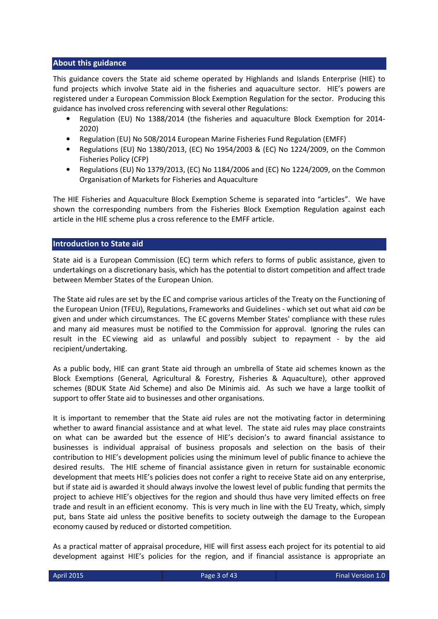# About this guidance

This guidance covers the State aid scheme operated by Highlands and Islands Enterprise (HIE) to fund projects which involve State aid in the fisheries and aquaculture sector. HIE's powers are registered under a European Commission Block Exemption Regulation for the sector. Producing this guidance has involved cross referencing with several other Regulations:

- Regulation (EU) No 1388/2014 (the fisheries and aquaculture Block Exemption for 2014- 2020)
- Regulation (EU) No 508/2014 European Marine Fisheries Fund Regulation (EMFF)
- Regulations (EU) No 1380/2013, (EC) No 1954/2003 & (EC) No 1224/2009, on the Common Fisheries Policy (CFP)
- Regulations (EU) No 1379/2013, (EC) No 1184/2006 and (EC) No 1224/2009, on the Common Organisation of Markets for Fisheries and Aquaculture

The HIE Fisheries and Aquaculture Block Exemption Scheme is separated into "articles". We have shown the corresponding numbers from the Fisheries Block Exemption Regulation against each article in the HIE scheme plus a cross reference to the EMFF article.

#### Introduction to State aid

State aid is a European Commission (EC) term which refers to forms of public assistance, given to undertakings on a discretionary basis, which has the potential to distort competition and affect trade between Member States of the European Union.

The State aid rules are set by the EC and comprise various articles of the Treaty on the Functioning of the European Union (TFEU), Regulations, Frameworks and Guidelines - which set out what aid can be given and under which circumstances. The EC governs Member States' compliance with these rules and many aid measures must be notified to the Commission for approval. Ignoring the rules can result in the EC viewing aid as unlawful and possibly subject to repayment - by the aid recipient/undertaking.

As a public body, HIE can grant State aid through an umbrella of State aid schemes known as the Block Exemptions (General, Agricultural & Forestry, Fisheries & Aquaculture), other approved schemes (BDUK State Aid Scheme) and also De Minimis aid. As such we have a large toolkit of support to offer State aid to businesses and other organisations.

It is important to remember that the State aid rules are not the motivating factor in determining whether to award financial assistance and at what level. The state aid rules may place constraints on what can be awarded but the essence of HIE's decision's to award financial assistance to businesses is individual appraisal of business proposals and selection on the basis of their contribution to HIE's development policies using the minimum level of public finance to achieve the desired results. The HIE scheme of financial assistance given in return for sustainable economic development that meets HIE's policies does not confer a right to receive State aid on any enterprise, but if state aid is awarded it should always involve the lowest level of public funding that permits the project to achieve HIE's objectives for the region and should thus have very limited effects on free trade and result in an efficient economy. This is very much in line with the EU Treaty, which, simply put, bans State aid unless the positive benefits to society outweigh the damage to the European economy caused by reduced or distorted competition.

As a practical matter of appraisal procedure, HIE will first assess each project for its potential to aid development against HIE's policies for the region, and if financial assistance is appropriate an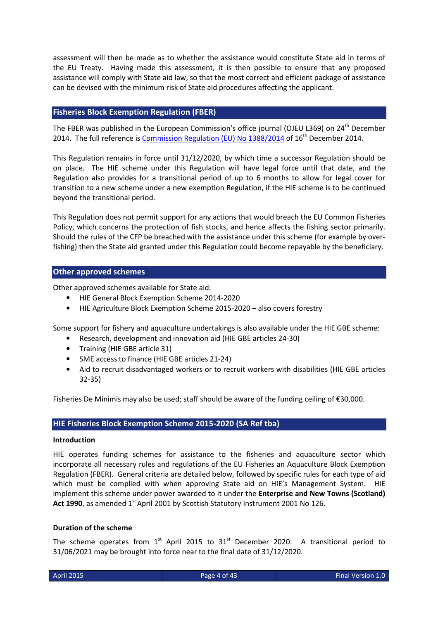assessment will then be made as to whether the assistance would constitute State aid in terms of the EU Treaty. Having made this assessment, it is then possible to ensure that any proposed assistance will comply with State aid law, so that the most correct and efficient package of assistance can be devised with the minimum risk of State aid procedures affecting the applicant.

# Fisheries Block Exemption Regulation (FBER)

The FBER was published in the European Commission's office journal (OJEU L369) on 24<sup>th</sup> December 2014. The full reference is Commission Regulation (EU) No 1388/2014 of 16<sup>th</sup> December 2014.

This Regulation remains in force until 31/12/2020, by which time a successor Regulation should be on place. The HIE scheme under this Regulation will have legal force until that date, and the Regulation also provides for a transitional period of up to 6 months to allow for legal cover for transition to a new scheme under a new exemption Regulation, if the HIE scheme is to be continued beyond the transitional period.

This Regulation does not permit support for any actions that would breach the EU Common Fisheries Policy, which concerns the protection of fish stocks, and hence affects the fishing sector primarily. Should the rules of the CFP be breached with the assistance under this scheme (for example by overfishing) then the State aid granted under this Regulation could become repayable by the beneficiary.

#### Other approved schemes

Other approved schemes available for State aid:

- HIE General Block Exemption Scheme 2014-2020
- HIE Agriculture Block Exemption Scheme 2015-2020 also covers forestry

Some support for fishery and aquaculture undertakings is also available under the HIE GBE scheme:

- Research, development and innovation aid (HIE GBE articles 24-30)
- Training (HIE GBE article 31)
- SME access to finance (HIE GBE articles 21-24)
- Aid to recruit disadvantaged workers or to recruit workers with disabilities (HIE GBE articles 32-35)

Fisheries De Minimis may also be used; staff should be aware of the funding ceiling of €30,000.

# HIE Fisheries Block Exemption Scheme 2015-2020 (SA Ref tba)

#### Introduction

HIE operates funding schemes for assistance to the fisheries and aquaculture sector which incorporate all necessary rules and regulations of the EU Fisheries an Aquaculture Block Exemption Regulation (FBER). General criteria are detailed below, followed by specific rules for each type of aid which must be complied with when approving State aid on HIE's Management System. HIE implement this scheme under power awarded to it under the Enterprise and New Towns (Scotland) Act 1990, as amended 1st April 2001 by Scottish Statutory Instrument 2001 No 126.

#### Duration of the scheme

The scheme operates from  $1<sup>st</sup>$  April 2015 to  $31<sup>st</sup>$  December 2020. A transitional period to 31/06/2021 may be brought into force near to the final date of 31/12/2020.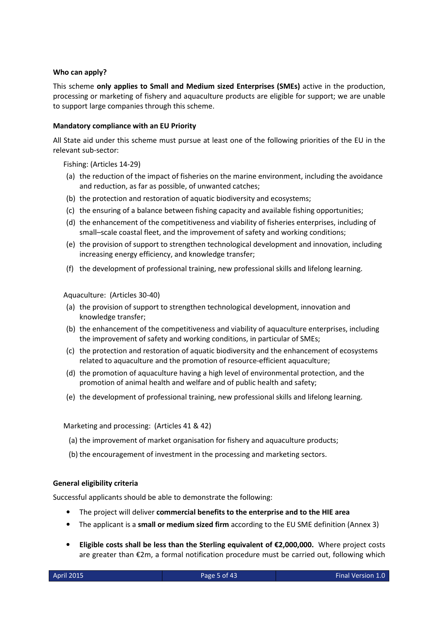# Who can apply?

This scheme only applies to Small and Medium sized Enterprises (SMEs) active in the production, processing or marketing of fishery and aquaculture products are eligible for support; we are unable to support large companies through this scheme.

# Mandatory compliance with an EU Priority

All State aid under this scheme must pursue at least one of the following priorities of the EU in the relevant sub-sector:

Fishing: (Articles 14-29)

- (a) the reduction of the impact of fisheries on the marine environment, including the avoidance and reduction, as far as possible, of unwanted catches;
- (b) the protection and restoration of aquatic biodiversity and ecosystems;
- (c) the ensuring of a balance between fishing capacity and available fishing opportunities;
- (d) the enhancement of the competitiveness and viability of fisheries enterprises, including of small–scale coastal fleet, and the improvement of safety and working conditions;
- (e) the provision of support to strengthen technological development and innovation, including increasing energy efficiency, and knowledge transfer;
- (f) the development of professional training, new professional skills and lifelong learning.

Aquaculture: (Articles 30-40)

- (a) the provision of support to strengthen technological development, innovation and knowledge transfer;
- (b) the enhancement of the competitiveness and viability of aquaculture enterprises, including the improvement of safety and working conditions, in particular of SMEs;
- (c) the protection and restoration of aquatic biodiversity and the enhancement of ecosystems related to aquaculture and the promotion of resource-efficient aquaculture;
- (d) the promotion of aquaculture having a high level of environmental protection, and the promotion of animal health and welfare and of public health and safety;
- (e) the development of professional training, new professional skills and lifelong learning.

Marketing and processing: (Articles 41 & 42)

- (a) the improvement of market organisation for fishery and aquaculture products;
- (b) the encouragement of investment in the processing and marketing sectors.

# General eligibility criteria

Successful applicants should be able to demonstrate the following:

- The project will deliver commercial benefits to the enterprise and to the HIE area
- The applicant is a small or medium sized firm according to the EU SME definition (Annex 3)
- Eligible costs shall be less than the Sterling equivalent of €2,000,000. Where project costs are greater than €2m, a formal notification procedure must be carried out, following which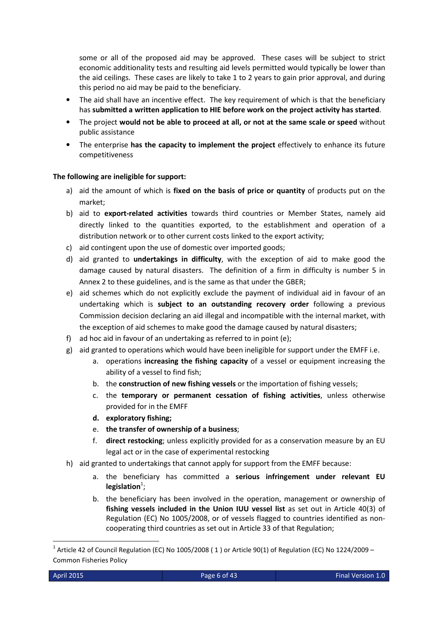some or all of the proposed aid may be approved. These cases will be subject to strict economic additionality tests and resulting aid levels permitted would typically be lower than the aid ceilings. These cases are likely to take 1 to 2 years to gain prior approval, and during this period no aid may be paid to the beneficiary.

- The aid shall have an incentive effect. The key requirement of which is that the beneficiary has submitted a written application to HIE before work on the project activity has started.
- The project would not be able to proceed at all, or not at the same scale or speed without public assistance
- The enterprise has the capacity to implement the project effectively to enhance its future competitiveness

# The following are ineligible for support:

- a) aid the amount of which is fixed on the basis of price or quantity of products put on the market;
- b) aid to export-related activities towards third countries or Member States, namely aid directly linked to the quantities exported, to the establishment and operation of a distribution network or to other current costs linked to the export activity;
- c) aid contingent upon the use of domestic over imported goods;
- d) aid granted to undertakings in difficulty, with the exception of aid to make good the damage caused by natural disasters. The definition of a firm in difficulty is number 5 in Annex 2 to these guidelines, and is the same as that under the GBER;
- e) aid schemes which do not explicitly exclude the payment of individual aid in favour of an undertaking which is subject to an outstanding recovery order following a previous Commission decision declaring an aid illegal and incompatible with the internal market, with the exception of aid schemes to make good the damage caused by natural disasters;
- f) ad hoc aid in favour of an undertaking as referred to in point (e);
- g) aid granted to operations which would have been ineligible for support under the EMFF i.e.
	- a. operations increasing the fishing capacity of a vessel or equipment increasing the ability of a vessel to find fish;
	- b. the construction of new fishing vessels or the importation of fishing vessels;
	- c. the temporary or permanent cessation of fishing activities, unless otherwise provided for in the EMFF
	- d. exploratory fishing;
	- e. the transfer of ownership of a business;
	- f. direct restocking; unless explicitly provided for as a conservation measure by an EU legal act or in the case of experimental restocking
- h) aid granted to undertakings that cannot apply for support from the EMFF because:
	- a. the beneficiary has committed a serious infringement under relevant EU legislation $^1$ ;
	- b. the beneficiary has been involved in the operation, management or ownership of fishing vessels included in the Union IUU vessel list as set out in Article 40(3) of Regulation (EC) No 1005/2008, or of vessels flagged to countries identified as noncooperating third countries as set out in Article 33 of that Regulation;

 $^1$  Article 42 of Council Regulation (EC) No 1005/2008 (1) or Article 90(1) of Regulation (EC) No 1224/2009 – Common Fisheries Policy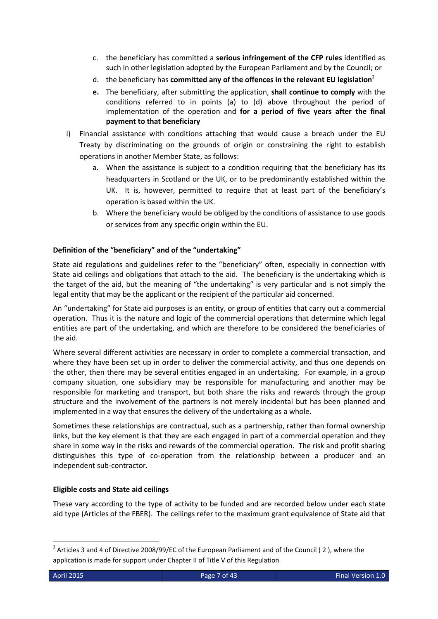- c. the beneficiary has committed a serious infringement of the CFP rules identified as such in other legislation adopted by the European Parliament and by the Council; or
- d. the beneficiary has committed any of the offences in the relevant EU legislation<sup>2</sup>
- e. The beneficiary, after submitting the application, shall continue to comply with the conditions referred to in points (a) to (d) above throughout the period of implementation of the operation and for a period of five years after the final payment to that beneficiary
- i) Financial assistance with conditions attaching that would cause a breach under the EU Treaty by discriminating on the grounds of origin or constraining the right to establish operations in another Member State, as follows:
	- a. When the assistance is subject to a condition requiring that the beneficiary has its headquarters in Scotland or the UK, or to be predominantly established within the UK. It is, however, permitted to require that at least part of the beneficiary's operation is based within the UK.
	- b. Where the beneficiary would be obliged by the conditions of assistance to use goods or services from any specific origin within the EU.

# Definition of the "beneficiary" and of the "undertaking"

State aid regulations and guidelines refer to the "beneficiary" often, especially in connection with State aid ceilings and obligations that attach to the aid. The beneficiary is the undertaking which is the target of the aid, but the meaning of "the undertaking" is very particular and is not simply the legal entity that may be the applicant or the recipient of the particular aid concerned.

An "undertaking" for State aid purposes is an entity, or group of entities that carry out a commercial operation. Thus it is the nature and logic of the commercial operations that determine which legal entities are part of the undertaking, and which are therefore to be considered the beneficiaries of the aid.

Where several different activities are necessary in order to complete a commercial transaction, and where they have been set up in order to deliver the commercial activity, and thus one depends on the other, then there may be several entities engaged in an undertaking. For example, in a group company situation, one subsidiary may be responsible for manufacturing and another may be responsible for marketing and transport, but both share the risks and rewards through the group structure and the involvement of the partners is not merely incidental but has been planned and implemented in a way that ensures the delivery of the undertaking as a whole.

Sometimes these relationships are contractual, such as a partnership, rather than formal ownership links, but the key element is that they are each engaged in part of a commercial operation and they share in some way in the risks and rewards of the commercial operation. The risk and profit sharing distinguishes this type of co-operation from the relationship between a producer and an independent sub-contractor.

# Eligible costs and State aid ceilings

These vary according to the type of activity to be funded and are recorded below under each state aid type (Articles of the FBER). The ceilings refer to the maximum grant equivalence of State aid that

<sup>&</sup>lt;sup>2</sup> Articles 3 and 4 of Directive 2008/99/EC of the European Parliament and of the Council (2), where the application is made for support under Chapter II of Title V of this Regulation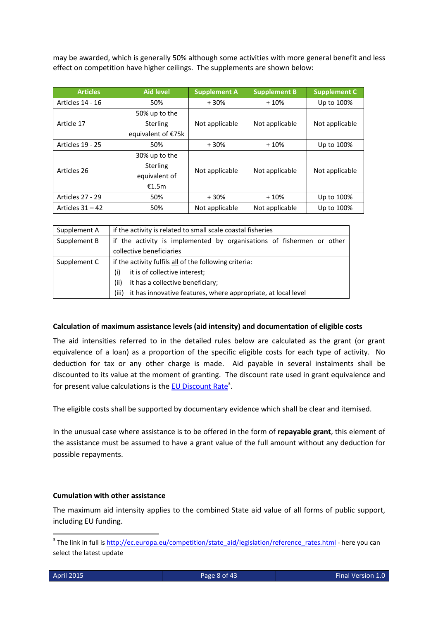may be awarded, which is generally 50% although some activities with more general benefit and less effect on competition have higher ceilings. The supplements are shown below:

| <b>Articles</b>         | <b>Aid level</b>   | <b>Supplement A</b> | <b>Supplement B</b> | <b>Supplement C</b> |
|-------------------------|--------------------|---------------------|---------------------|---------------------|
| Articles 14 - 16        | 50%                | $+30%$              | $+10%$              | Up to 100%          |
|                         | 50% up to the      |                     |                     |                     |
| Article 17              | Sterling           | Not applicable      | Not applicable      | Not applicable      |
|                         | equivalent of €75k |                     |                     |                     |
| <b>Articles 19 - 25</b> | 50%                | $+30%$              | $+10%$              | Up to 100%          |
|                         | 30% up to the      |                     | Not applicable      | Not applicable      |
| Articles 26             | Sterling           | Not applicable      |                     |                     |
|                         | equivalent of      |                     |                     |                     |
|                         | €1.5m              |                     |                     |                     |
| Articles 27 - 29        | 50%                | $+30%$              | $+10%$              | Up to 100%          |
| Articles $31 - 42$      | 50%                | Not applicable      | Not applicable      | Up to 100%          |

| Supplement A | if the activity is related to small scale coastal fisheries            |  |  |  |  |
|--------------|------------------------------------------------------------------------|--|--|--|--|
| Supplement B | if the activity is implemented by organisations of fishermen or other  |  |  |  |  |
|              | collective beneficiaries                                               |  |  |  |  |
| Supplement C | if the activity fulfils all of the following criteria:                 |  |  |  |  |
|              | it is of collective interest;<br>(i)                                   |  |  |  |  |
|              | (ii)<br>it has a collective beneficiary;                               |  |  |  |  |
|              | it has innovative features, where appropriate, at local level<br>(iii) |  |  |  |  |

# Calculation of maximum assistance levels (aid intensity) and documentation of eligible costs

The aid intensities referred to in the detailed rules below are calculated as the grant (or grant equivalence of a loan) as a proportion of the specific eligible costs for each type of activity. No deduction for tax or any other charge is made. Aid payable in several instalments shall be discounted to its value at the moment of granting. The discount rate used in grant equivalence and for present value calculations is the EU Discount Rate<sup>3</sup>.

The eligible costs shall be supported by documentary evidence which shall be clear and itemised.

In the unusual case where assistance is to be offered in the form of repayable grant, this element of the assistance must be assumed to have a grant value of the full amount without any deduction for possible repayments.

# Cumulation with other assistance

The maximum aid intensity applies to the combined State aid value of all forms of public support, including EU funding.

 $\overline{\phantom{0}}$ 

<sup>&</sup>lt;sup>3</sup> The link in full is http://ec.europa.eu/competition/state\_aid/legislation/reference\_rates.html - here you can select the latest update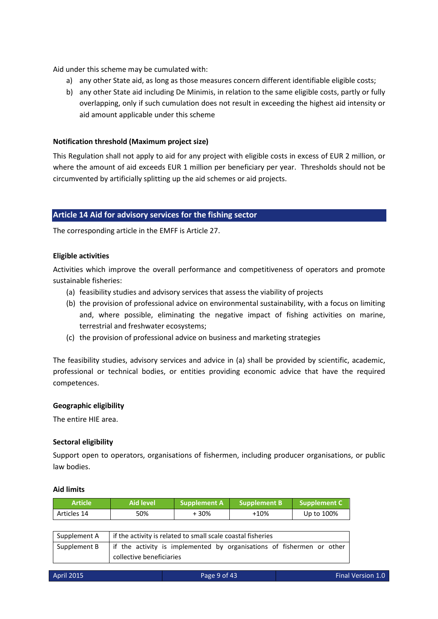Aid under this scheme may be cumulated with:

- a) any other State aid, as long as those measures concern different identifiable eligible costs;
- b) any other State aid including De Minimis, in relation to the same eligible costs, partly or fully overlapping, only if such cumulation does not result in exceeding the highest aid intensity or aid amount applicable under this scheme

#### Notification threshold (Maximum project size)

This Regulation shall not apply to aid for any project with eligible costs in excess of EUR 2 million, or where the amount of aid exceeds EUR 1 million per beneficiary per year. Thresholds should not be circumvented by artificially splitting up the aid schemes or aid projects.

# Article 14 Aid for advisory services for the fishing sector

The corresponding article in the EMFF is Article 27.

#### Eligible activities

Activities which improve the overall performance and competitiveness of operators and promote sustainable fisheries:

- (a) feasibility studies and advisory services that assess the viability of projects
- (b) the provision of professional advice on environmental sustainability, with a focus on limiting and, where possible, eliminating the negative impact of fishing activities on marine, terrestrial and freshwater ecosystems;
- (c) the provision of professional advice on business and marketing strategies

The feasibility studies, advisory services and advice in (a) shall be provided by scientific, academic, professional or technical bodies, or entities providing economic advice that have the required competences.

#### Geographic eligibility

The entire HIE area.

#### Sectoral eligibility

Support open to operators, organisations of fishermen, including producer organisations, or public law bodies.

# Aid limits

| <b>Article</b> | <b>Aid level</b> | Supplement A | Supplement B | <b>Supplement C</b> |
|----------------|------------------|--------------|--------------|---------------------|
| Articles 14    | 50%              | +30%         | +10%         | Up to 100%          |

| Supplement A | if the activity is related to small scale coastal fisheries           |  |  |  |
|--------------|-----------------------------------------------------------------------|--|--|--|
| Supplement B | if the activity is implemented by organisations of fishermen or other |  |  |  |
|              | collective beneficiaries                                              |  |  |  |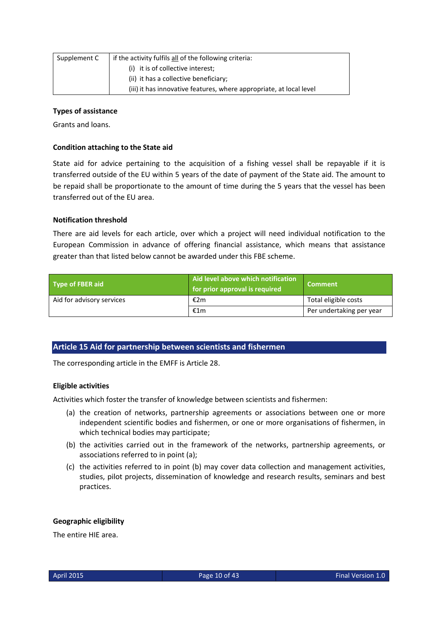| Supplement C | if the activity fulfils all of the following criteria:              |
|--------------|---------------------------------------------------------------------|
|              | (i) it is of collective interest;                                   |
|              | (ii) it has a collective beneficiary;                               |
|              | (iii) it has innovative features, where appropriate, at local level |

# Types of assistance

Grants and loans.

# Condition attaching to the State aid

State aid for advice pertaining to the acquisition of a fishing vessel shall be repayable if it is transferred outside of the EU within 5 years of the date of payment of the State aid. The amount to be repaid shall be proportionate to the amount of time during the 5 years that the vessel has been transferred out of the EU area.

#### Notification threshold

There are aid levels for each article, over which a project will need individual notification to the European Commission in advance of offering financial assistance, which means that assistance greater than that listed below cannot be awarded under this FBE scheme.

| Type of FBER aid          | Aid level above which notification<br>for prior approval is required | <b>Comment</b>           |
|---------------------------|----------------------------------------------------------------------|--------------------------|
| Aid for advisory services | €2m                                                                  | Total eligible costs     |
|                           | €1m                                                                  | Per undertaking per year |

# Article 15 Aid for partnership between scientists and fishermen

The corresponding article in the EMFF is Article 28.

# Eligible activities

Activities which foster the transfer of knowledge between scientists and fishermen:

- (a) the creation of networks, partnership agreements or associations between one or more independent scientific bodies and fishermen, or one or more organisations of fishermen, in which technical bodies may participate;
- (b) the activities carried out in the framework of the networks, partnership agreements, or associations referred to in point (a);
- (c) the activities referred to in point (b) may cover data collection and management activities, studies, pilot projects, dissemination of knowledge and research results, seminars and best practices.

#### Geographic eligibility

The entire HIE area.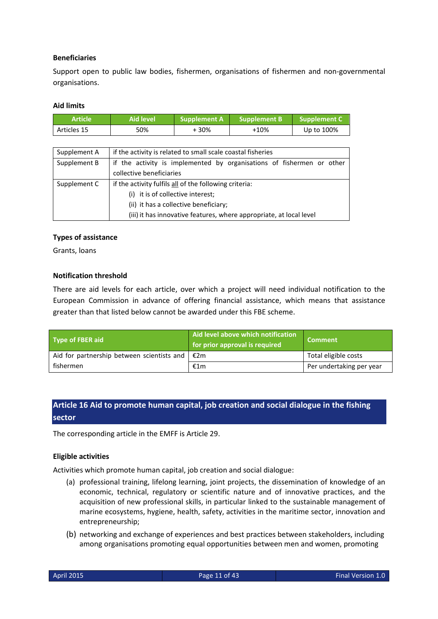# Beneficiaries

Support open to public law bodies, fishermen, organisations of fishermen and non-governmental organisations.

# Aid limits

| <b>Article</b> | <b>Aid level</b> | <b>Supplement A</b> | Supplement B | Supplement C |
|----------------|------------------|---------------------|--------------|--------------|
| Articles 15    | 50%              | +30%                | $+10\%$      | Up to 100%   |

| Supplement A | if the activity is related to small scale coastal fisheries           |  |  |  |
|--------------|-----------------------------------------------------------------------|--|--|--|
| Supplement B | if the activity is implemented by organisations of fishermen or other |  |  |  |
|              | collective beneficiaries                                              |  |  |  |
| Supplement C | if the activity fulfils all of the following criteria:                |  |  |  |
|              | (i) it is of collective interest;                                     |  |  |  |
|              | (ii) it has a collective beneficiary;                                 |  |  |  |
|              | (iii) it has innovative features, where appropriate, at local level   |  |  |  |

# Types of assistance

Grants, loans

# Notification threshold

There are aid levels for each article, over which a project will need individual notification to the European Commission in advance of offering financial assistance, which means that assistance greater than that listed below cannot be awarded under this FBE scheme.

| Type of FBER aid                                     | Aid level above which notification<br>for prior approval is required | Comment                  |
|------------------------------------------------------|----------------------------------------------------------------------|--------------------------|
| Aid for partnership between scientists and $\in$ £2m |                                                                      | Total eligible costs     |
| fishermen                                            | €1m                                                                  | Per undertaking per year |

# Article 16 Aid to promote human capital, job creation and social dialogue in the fishing sector

The corresponding article in the EMFF is Article 29.

# Eligible activities

Activities which promote human capital, job creation and social dialogue:

- (a) professional training, lifelong learning, joint projects, the dissemination of knowledge of an economic, technical, regulatory or scientific nature and of innovative practices, and the acquisition of new professional skills, in particular linked to the sustainable management of marine ecosystems, hygiene, health, safety, activities in the maritime sector, innovation and entrepreneurship;
- (b) networking and exchange of experiences and best practices between stakeholders, including among organisations promoting equal opportunities between men and women, promoting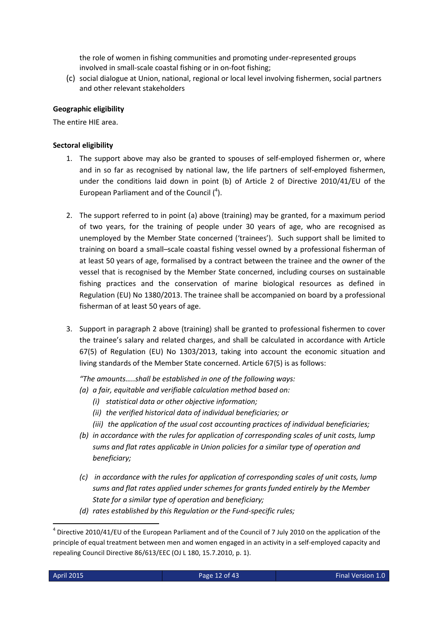the role of women in fishing communities and promoting under-represented groups involved in small-scale coastal fishing or in on-foot fishing;

(c) social dialogue at Union, national, regional or local level involving fishermen, social partners and other relevant stakeholders

#### Geographic eligibility

The entire HIE area.

# Sectoral eligibility

- 1. The support above may also be granted to spouses of self-employed fishermen or, where and in so far as recognised by national law, the life partners of self-employed fishermen, under the conditions laid down in point (b) of Article 2 of Directive 2010/41/EU of the European Parliament and of the Council  $(4)$ .
- 2. The support referred to in point (a) above (training) may be granted, for a maximum period of two years, for the training of people under 30 years of age, who are recognised as unemployed by the Member State concerned ('trainees'). Such support shall be limited to training on board a small–scale coastal fishing vessel owned by a professional fisherman of at least 50 years of age, formalised by a contract between the trainee and the owner of the vessel that is recognised by the Member State concerned, including courses on sustainable fishing practices and the conservation of marine biological resources as defined in Regulation (EU) No 1380/2013. The trainee shall be accompanied on board by a professional fisherman of at least 50 years of age.
- 3. Support in paragraph 2 above (training) shall be granted to professional fishermen to cover the trainee's salary and related charges, and shall be calculated in accordance with Article 67(5) of Regulation (EU) No 1303/2013, taking into account the economic situation and living standards of the Member State concerned. Article 67(5) is as follows:

"The amounts…..shall be established in one of the following ways:

- (a) a fair, equitable and verifiable calculation method based on:
	- (i) statistical data or other objective information;
	- (ii) the verified historical data of individual beneficiaries; or
	- (iii) the application of the usual cost accounting practices of individual beneficiaries;
- (b) in accordance with the rules for application of corresponding scales of unit costs, lump sums and flat rates applicable in Union policies for a similar type of operation and beneficiary;
- (c) in accordance with the rules for application of corresponding scales of unit costs, lump sums and flat rates applied under schemes for grants funded entirely by the Member State for a similar type of operation and beneficiary;
- (d) rates established by this Regulation or the Fund-specific rules;

 $^4$  Directive 2010/41/EU of the European Parliament and of the Council of 7 July 2010 on the application of the principle of equal treatment between men and women engaged in an activity in a self-employed capacity and repealing Council Directive 86/613/EEC (OJ L 180, 15.7.2010, p. 1).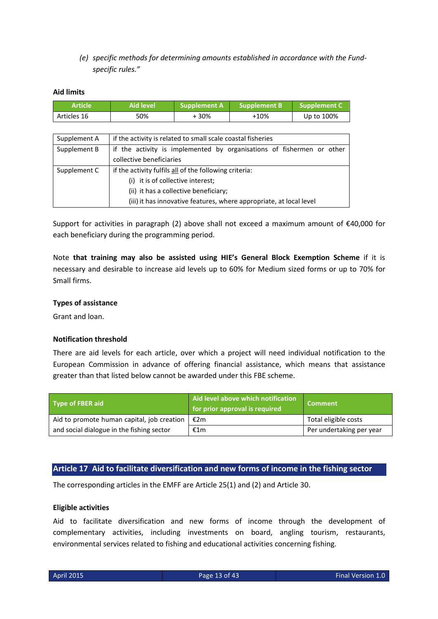(e) specific methods for determining amounts established in accordance with the Fundspecific rules."

# Aid limits

| <b>Article</b> | <b>Aid level</b>                                                      | <b>Supplement A</b> | <b>Supplement B</b> | <b>Supplement C</b> |  |  |  |
|----------------|-----------------------------------------------------------------------|---------------------|---------------------|---------------------|--|--|--|
| Articles 16    | 50%                                                                   | $+30%$              | $+10%$              | Up to 100%          |  |  |  |
|                |                                                                       |                     |                     |                     |  |  |  |
| Supplement A   | if the activity is related to small scale coastal fisheries           |                     |                     |                     |  |  |  |
| Supplement B   | if the activity is implemented by organisations of fishermen or other |                     |                     |                     |  |  |  |
|                | collective beneficiaries                                              |                     |                     |                     |  |  |  |
| Supplement C   | if the activity fulfils all of the following criteria:                |                     |                     |                     |  |  |  |
|                | (i) it is of collective interest;                                     |                     |                     |                     |  |  |  |
|                | (ii) it has a collective beneficiary;                                 |                     |                     |                     |  |  |  |
|                | (iii) it has innovative features, where appropriate, at local level   |                     |                     |                     |  |  |  |

Support for activities in paragraph (2) above shall not exceed a maximum amount of €40,000 for each beneficiary during the programming period.

Note that training may also be assisted using HIE's General Block Exemption Scheme if it is necessary and desirable to increase aid levels up to 60% for Medium sized forms or up to 70% for Small firms.

# Types of assistance

Grant and loan.

# Notification threshold

There are aid levels for each article, over which a project will need individual notification to the European Commission in advance of offering financial assistance, which means that assistance greater than that listed below cannot be awarded under this FBE scheme.

| Type of FBER aid                           | Aid level above which notification<br>for prior approval is required | Comment                  |
|--------------------------------------------|----------------------------------------------------------------------|--------------------------|
| Aid to promote human capital, job creation | €2m                                                                  | Total eligible costs     |
| and social dialogue in the fishing sector  | €1m                                                                  | Per undertaking per year |

# Article 17 Aid to facilitate diversification and new forms of income in the fishing sector

The corresponding articles in the EMFF are Article 25(1) and (2) and Article 30.

#### Eligible activities

Aid to facilitate diversification and new forms of income through the development of complementary activities, including investments on board, angling tourism, restaurants, environmental services related to fishing and educational activities concerning fishing.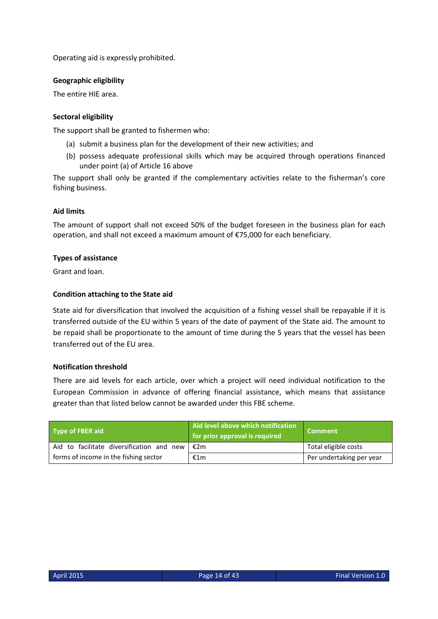Operating aid is expressly prohibited.

# Geographic eligibility

The entire HIE area.

# Sectoral eligibility

The support shall be granted to fishermen who:

- (a) submit a business plan for the development of their new activities; and
- (b) possess adequate professional skills which may be acquired through operations financed under point (a) of Article 16 above

The support shall only be granted if the complementary activities relate to the fisherman's core fishing business.

# Aid limits

The amount of support shall not exceed 50% of the budget foreseen in the business plan for each operation, and shall not exceed a maximum amount of €75,000 for each beneficiary.

# Types of assistance

Grant and loan.

# Condition attaching to the State aid

State aid for diversification that involved the acquisition of a fishing vessel shall be repayable if it is transferred outside of the EU within 5 years of the date of payment of the State aid. The amount to be repaid shall be proportionate to the amount of time during the 5 years that the vessel has been transferred out of the EU area.

# Notification threshold

There are aid levels for each article, over which a project will need individual notification to the European Commission in advance of offering financial assistance, which means that assistance greater than that listed below cannot be awarded under this FBE scheme.

| <b>Type of FBER aid</b>                   | Aid level above which notification<br>for prior approval is required | <b>Comment</b>           |
|-------------------------------------------|----------------------------------------------------------------------|--------------------------|
| Aid to facilitate diversification and new | I €2m                                                                | Total eligible costs     |
| forms of income in the fishing sector     | €1m                                                                  | Per undertaking per year |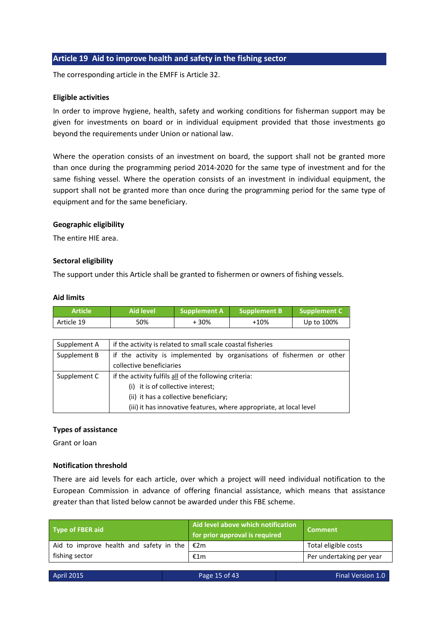# Article 19 Aid to improve health and safety in the fishing sector

The corresponding article in the EMFF is Article 32.

#### Eligible activities

In order to improve hygiene, health, safety and working conditions for fisherman support may be given for investments on board or in individual equipment provided that those investments go beyond the requirements under Union or national law.

Where the operation consists of an investment on board, the support shall not be granted more than once during the programming period 2014-2020 for the same type of investment and for the same fishing vessel. Where the operation consists of an investment in individual equipment, the support shall not be granted more than once during the programming period for the same type of equipment and for the same beneficiary.

# Geographic eligibility

The entire HIE area.

# Sectoral eligibility

The support under this Article shall be granted to fishermen or owners of fishing vessels.

# Aid limits

| <b>Article</b> | <b>Aid level</b> | Supplement A | Supplement B | <b>Supplement C</b> |
|----------------|------------------|--------------|--------------|---------------------|
| Article 19     | 50%              | +30%         | $+10\%$      | Up to 100%          |

| Supplement A | if the activity is related to small scale coastal fisheries                                                                                                                                                 |
|--------------|-------------------------------------------------------------------------------------------------------------------------------------------------------------------------------------------------------------|
| Supplement B | if the activity is implemented by organisations of fishermen or other<br>collective beneficiaries                                                                                                           |
| Supplement C | if the activity fulfils all of the following criteria:<br>(i) it is of collective interest;<br>(ii) it has a collective beneficiary;<br>(iii) it has innovative features, where appropriate, at local level |

# Types of assistance

Grant or loan

#### Notification threshold

There are aid levels for each article, over which a project will need individual notification to the European Commission in advance of offering financial assistance, which means that assistance greater than that listed below cannot be awarded under this FBE scheme.

| <b>Type of FBER aid</b>                                    | Aid level above which notification<br>for prior approval is required | <b>Comment</b>           |
|------------------------------------------------------------|----------------------------------------------------------------------|--------------------------|
| Aid to improve health and safety in the $\in \mathbb{Z}$ m |                                                                      | Total eligible costs     |
| fishing sector                                             | €1m                                                                  | Per undertaking per year |
|                                                            |                                                                      |                          |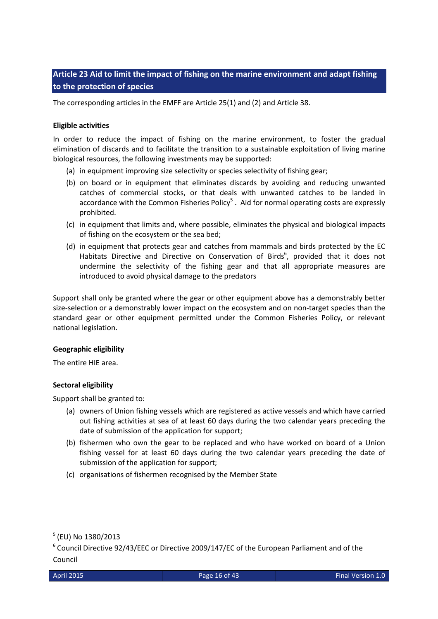# Article 23 Aid to limit the impact of fishing on the marine environment and adapt fishing to the protection of species

The corresponding articles in the EMFF are Article 25(1) and (2) and Article 38.

#### Eligible activities

In order to reduce the impact of fishing on the marine environment, to foster the gradual elimination of discards and to facilitate the transition to a sustainable exploitation of living marine biological resources, the following investments may be supported:

- (a) in equipment improving size selectivity or species selectivity of fishing gear;
- (b) on board or in equipment that eliminates discards by avoiding and reducing unwanted catches of commercial stocks, or that deals with unwanted catches to be landed in accordance with the Common Fisheries Policy<sup>5</sup>. Aid for normal operating costs are expressly prohibited.
- (c) in equipment that limits and, where possible, eliminates the physical and biological impacts of fishing on the ecosystem or the sea bed;
- (d) in equipment that protects gear and catches from mammals and birds protected by the EC Habitats Directive and Directive on Conservation of Birds<sup>6</sup>, provided that it does not undermine the selectivity of the fishing gear and that all appropriate measures are introduced to avoid physical damage to the predators

Support shall only be granted where the gear or other equipment above has a demonstrably better size-selection or a demonstrably lower impact on the ecosystem and on non-target species than the standard gear or other equipment permitted under the Common Fisheries Policy, or relevant national legislation.

# Geographic eligibility

The entire HIE area.

# Sectoral eligibility

Support shall be granted to:

- (a) owners of Union fishing vessels which are registered as active vessels and which have carried out fishing activities at sea of at least 60 days during the two calendar years preceding the date of submission of the application for support;
- (b) fishermen who own the gear to be replaced and who have worked on board of a Union fishing vessel for at least 60 days during the two calendar years preceding the date of submission of the application for support;
- (c) organisations of fishermen recognised by the Member State

 $\overline{a}$ 

 $5$  (EU) No 1380/2013

 $6$  Council Directive 92/43/EEC or Directive 2009/147/EC of the European Parliament and of the Council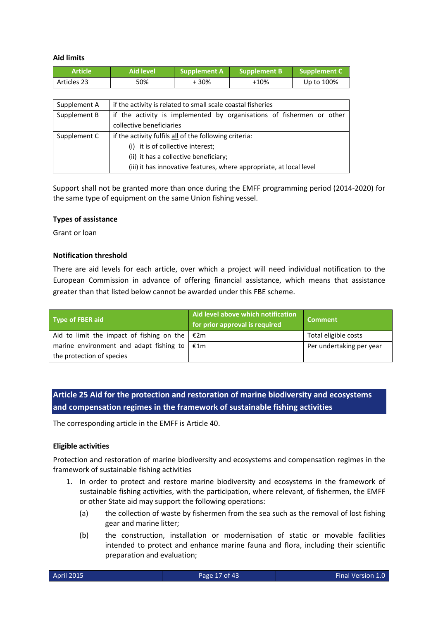#### Aid limits

| <b>Article</b> | <b>Aid level</b> | <b>Supplement A</b> | <b>Supplement B</b> | Supplement C |
|----------------|------------------|---------------------|---------------------|--------------|
| Articles 23    | 50%              | +30%                | $+10\%$             | Up to 100%   |

| Supplement A | if the activity is related to small scale coastal fisheries                                                                                                                                                 |
|--------------|-------------------------------------------------------------------------------------------------------------------------------------------------------------------------------------------------------------|
| Supplement B | if the activity is implemented by organisations of fishermen or other<br>collective beneficiaries                                                                                                           |
| Supplement C | if the activity fulfils all of the following criteria:<br>(i) it is of collective interest;<br>(ii) it has a collective beneficiary;<br>(iii) it has innovative features, where appropriate, at local level |

Support shall not be granted more than once during the EMFF programming period (2014-2020) for the same type of equipment on the same Union fishing vessel.

#### Types of assistance

Grant or loan

# Notification threshold

There are aid levels for each article, over which a project will need individual notification to the European Commission in advance of offering financial assistance, which means that assistance greater than that listed below cannot be awarded under this FBE scheme.

| <b>Type of FBER aid</b>                                      | Aid level above which notification<br>for prior approval is required | <b>Comment</b>           |
|--------------------------------------------------------------|----------------------------------------------------------------------|--------------------------|
| Aid to limit the impact of fishing on the $\in \mathbb{Z}$ m |                                                                      | Total eligible costs     |
| marine environment and adapt fishing to $\epsilon$ 1m        |                                                                      | Per undertaking per year |
| the protection of species                                    |                                                                      |                          |

Article 25 Aid for the protection and restoration of marine biodiversity and ecosystems and compensation regimes in the framework of sustainable fishing activities

The corresponding article in the EMFF is Article 40.

#### Eligible activities

Protection and restoration of marine biodiversity and ecosystems and compensation regimes in the framework of sustainable fishing activities

- 1. In order to protect and restore marine biodiversity and ecosystems in the framework of sustainable fishing activities, with the participation, where relevant, of fishermen, the EMFF or other State aid may support the following operations:
	- (a) the collection of waste by fishermen from the sea such as the removal of lost fishing gear and marine litter;
	- (b) the construction, installation or modernisation of static or movable facilities intended to protect and enhance marine fauna and flora, including their scientific preparation and evaluation;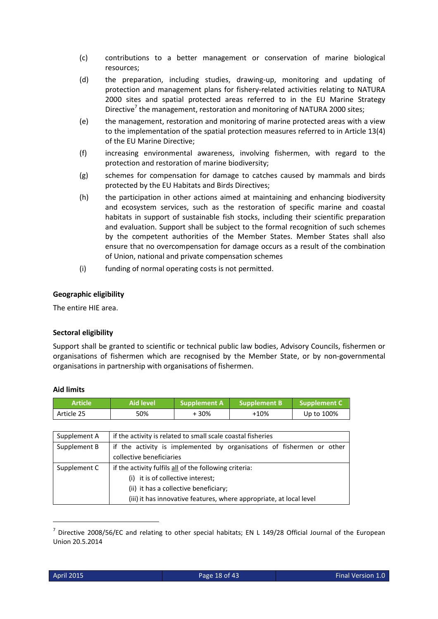- (c) contributions to a better management or conservation of marine biological resources;
- (d) the preparation, including studies, drawing-up, monitoring and updating of protection and management plans for fishery-related activities relating to NATURA 2000 sites and spatial protected areas referred to in the EU Marine Strategy Directive<sup>7</sup> the management, restoration and monitoring of NATURA 2000 sites;
- (e) the management, restoration and monitoring of marine protected areas with a view to the implementation of the spatial protection measures referred to in Article 13(4) of the EU Marine Directive;
- (f) increasing environmental awareness, involving fishermen, with regard to the protection and restoration of marine biodiversity;
- (g) schemes for compensation for damage to catches caused by mammals and birds protected by the EU Habitats and Birds Directives;
- (h) the participation in other actions aimed at maintaining and enhancing biodiversity and ecosystem services, such as the restoration of specific marine and coastal habitats in support of sustainable fish stocks, including their scientific preparation and evaluation. Support shall be subject to the formal recognition of such schemes by the competent authorities of the Member States. Member States shall also ensure that no overcompensation for damage occurs as a result of the combination of Union, national and private compensation schemes
- (i) funding of normal operating costs is not permitted.

# Geographic eligibility

The entire HIE area.

# Sectoral eligibility

Support shall be granted to scientific or technical public law bodies, Advisory Councils, fishermen or organisations of fishermen which are recognised by the Member State, or by non-governmental organisations in partnership with organisations of fishermen.

# Aid limits

| <b>Article</b> | <b>Aid level</b>                                                      | <b>Supplement A</b> | <b>Supplement B</b> | <b>Supplement C</b> |
|----------------|-----------------------------------------------------------------------|---------------------|---------------------|---------------------|
| Article 25     | 50%                                                                   | $+30%$              | $+10%$              | Up to 100%          |
|                |                                                                       |                     |                     |                     |
| Supplement A   | if the activity is related to small scale coastal fisheries           |                     |                     |                     |
| Supplement B   | if the activity is implemented by organisations of fishermen or other |                     |                     |                     |
|                | collective beneficiaries                                              |                     |                     |                     |
| Supplement C   | if the activity fulfils all of the following criteria:                |                     |                     |                     |
|                | (i) it is of collective interest;                                     |                     |                     |                     |
|                | (ii) it has a collective beneficiary;                                 |                     |                     |                     |
|                | (iii) it has innovative features, where appropriate, at local level   |                     |                     |                     |

 $^7$  Directive 2008/56/EC and relating to other special habitats; EN L 149/28 Official Journal of the European Union 20.5.2014

 $\overline{\phantom{0}}$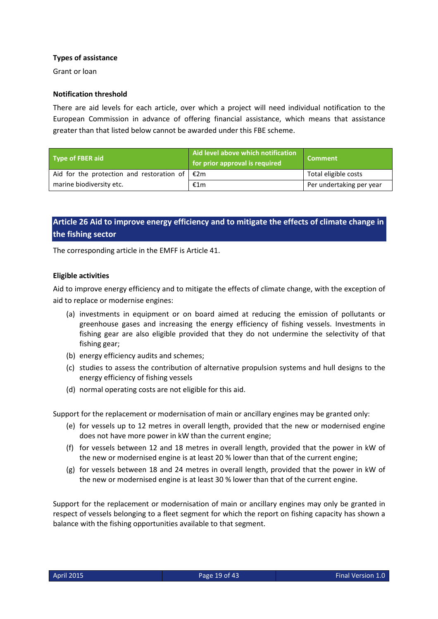# Types of assistance

Grant or loan

# Notification threshold

There are aid levels for each article, over which a project will need individual notification to the European Commission in advance of offering financial assistance, which means that assistance greater than that listed below cannot be awarded under this FBE scheme.

| Type of FBER aid                                             | Aid level above which notification<br>for prior approval is required | <b>Comment</b>           |
|--------------------------------------------------------------|----------------------------------------------------------------------|--------------------------|
| Aid for the protection and restoration of $\in \mathbb{Z}$ m |                                                                      | Total eligible costs     |
| marine biodiversity etc.                                     | €1m                                                                  | Per undertaking per year |

# Article 26 Aid to improve energy efficiency and to mitigate the effects of climate change in the fishing sector

The corresponding article in the EMFF is Article 41.

#### Eligible activities

Aid to improve energy efficiency and to mitigate the effects of climate change, with the exception of aid to replace or modernise engines:

- (a) investments in equipment or on board aimed at reducing the emission of pollutants or greenhouse gases and increasing the energy efficiency of fishing vessels. Investments in fishing gear are also eligible provided that they do not undermine the selectivity of that fishing gear;
- (b) energy efficiency audits and schemes;
- (c) studies to assess the contribution of alternative propulsion systems and hull designs to the energy efficiency of fishing vessels
- (d) normal operating costs are not eligible for this aid.

Support for the replacement or modernisation of main or ancillary engines may be granted only:

- (e) for vessels up to 12 metres in overall length, provided that the new or modernised engine does not have more power in kW than the current engine;
- (f) for vessels between 12 and 18 metres in overall length, provided that the power in kW of the new or modernised engine is at least 20 % lower than that of the current engine;
- (g) for vessels between 18 and 24 metres in overall length, provided that the power in kW of the new or modernised engine is at least 30 % lower than that of the current engine.

Support for the replacement or modernisation of main or ancillary engines may only be granted in respect of vessels belonging to a fleet segment for which the report on fishing capacity has shown a balance with the fishing opportunities available to that segment.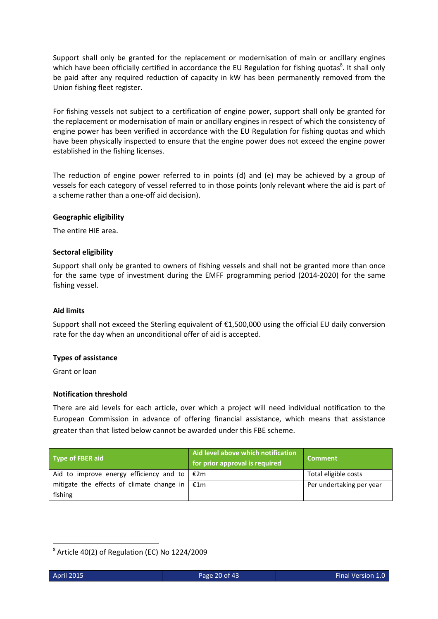Support shall only be granted for the replacement or modernisation of main or ancillary engines which have been officially certified in accordance the EU Regulation for fishing quotas<sup>8</sup>. It shall only be paid after any required reduction of capacity in kW has been permanently removed from the Union fishing fleet register.

For fishing vessels not subject to a certification of engine power, support shall only be granted for the replacement or modernisation of main or ancillary engines in respect of which the consistency of engine power has been verified in accordance with the EU Regulation for fishing quotas and which have been physically inspected to ensure that the engine power does not exceed the engine power established in the fishing licenses.

The reduction of engine power referred to in points (d) and (e) may be achieved by a group of vessels for each category of vessel referred to in those points (only relevant where the aid is part of a scheme rather than a one-off aid decision).

# Geographic eligibility

The entire HIE area.

# Sectoral eligibility

Support shall only be granted to owners of fishing vessels and shall not be granted more than once for the same type of investment during the EMFF programming period (2014-2020) for the same fishing vessel.

# Aid limits

Support shall not exceed the Sterling equivalent of €1,500,000 using the official EU daily conversion rate for the day when an unconditional offer of aid is accepted.

# Types of assistance

Grant or loan

# Notification threshold

There are aid levels for each article, over which a project will need individual notification to the European Commission in advance of offering financial assistance, which means that assistance greater than that listed below cannot be awarded under this FBE scheme.

| Type of FBER aid                                           | Aid level above which notification<br>for prior approval is required | <b>Comment</b>           |
|------------------------------------------------------------|----------------------------------------------------------------------|--------------------------|
| Aid to improve energy efficiency and to $\in \mathbb{Z}$ m |                                                                      | Total eligible costs     |
| mitigate the effects of climate change in $\epsilon$ 1m    |                                                                      | Per undertaking per year |
| fishing                                                    |                                                                      |                          |

 $8$  Article 40(2) of Regulation (EC) No 1224/2009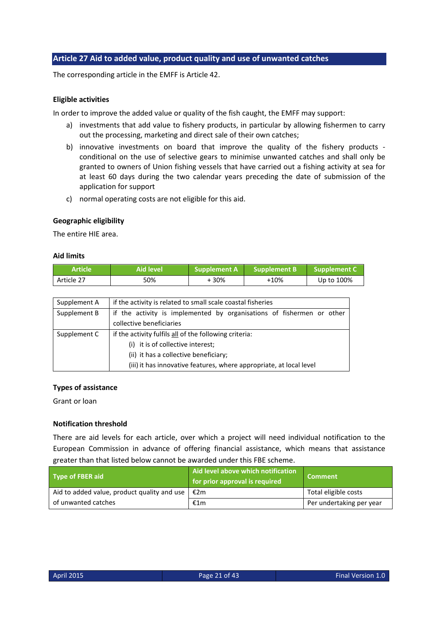# Article 27 Aid to added value, product quality and use of unwanted catches

The corresponding article in the EMFF is Article 42.

#### Eligible activities

In order to improve the added value or quality of the fish caught, the EMFF may support:

- a) investments that add value to fishery products, in particular by allowing fishermen to carry out the processing, marketing and direct sale of their own catches;
- b) innovative investments on board that improve the quality of the fishery products conditional on the use of selective gears to minimise unwanted catches and shall only be granted to owners of Union fishing vessels that have carried out a fishing activity at sea for at least 60 days during the two calendar years preceding the date of submission of the application for support
- c) normal operating costs are not eligible for this aid.

#### Geographic eligibility

The entire HIE area.

#### Aid limits

| <b>Article</b> | Aid level |       | Supplement A Supplement B | Supplement C |
|----------------|-----------|-------|---------------------------|--------------|
| Article 27     | 50%       | + 30% | +10%                      | Up to 100%   |

| Supplement A | if the activity is related to small scale coastal fisheries           |  |
|--------------|-----------------------------------------------------------------------|--|
| Supplement B | if the activity is implemented by organisations of fishermen or other |  |
|              | collective beneficiaries                                              |  |
| Supplement C | if the activity fulfils all of the following criteria:                |  |
|              | (i) it is of collective interest;                                     |  |
|              | (ii) it has a collective beneficiary;                                 |  |
|              | (iii) it has innovative features, where appropriate, at local level   |  |

#### Types of assistance

Grant or loan

#### Notification threshold

There are aid levels for each article, over which a project will need individual notification to the European Commission in advance of offering financial assistance, which means that assistance greater than that listed below cannot be awarded under this FBE scheme.

| <b>Type of FBER aid</b>                     | Aid level above which notification<br>for prior approval is required | <b>Comment</b>           |
|---------------------------------------------|----------------------------------------------------------------------|--------------------------|
| Aid to added value, product quality and use | €2m                                                                  | Total eligible costs     |
| of unwanted catches                         | €1m                                                                  | Per undertaking per year |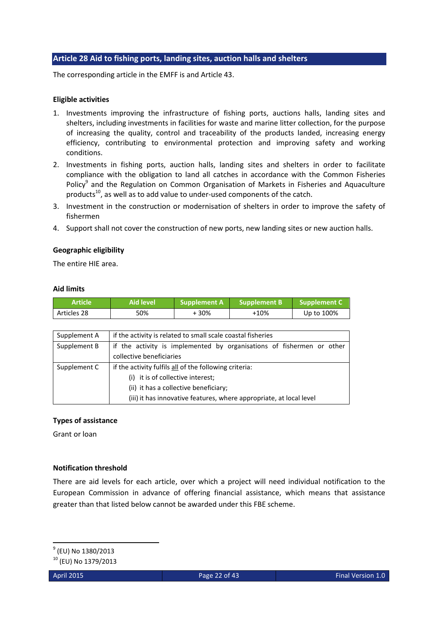# Article 28 Aid to fishing ports, landing sites, auction halls and shelters

The corresponding article in the EMFF is and Article 43.

# Eligible activities

- 1. Investments improving the infrastructure of fishing ports, auctions halls, landing sites and shelters, including investments in facilities for waste and marine litter collection, for the purpose of increasing the quality, control and traceability of the products landed, increasing energy efficiency, contributing to environmental protection and improving safety and working conditions.
- 2. Investments in fishing ports, auction halls, landing sites and shelters in order to facilitate compliance with the obligation to land all catches in accordance with the Common Fisheries Policy<sup>9</sup> and the Regulation on Common Organisation of Markets in Fisheries and Aquaculture products<sup>10</sup>, as well as to add value to under-used components of the catch.
- 3. Investment in the construction or modernisation of shelters in order to improve the safety of fishermen
- 4. Support shall not cover the construction of new ports, new landing sites or new auction halls.

#### Geographic eligibility

The entire HIE area.

#### Aid limits

| 'Article    | <b>Aid level</b> |      | Supplement A   Supplement B | <b>Supplement C</b> |
|-------------|------------------|------|-----------------------------|---------------------|
| Articles 28 | 50%              | +30% | +10%                        | Up to 100%          |

| Supplement A | if the activity is related to small scale coastal fisheries           |  |  |  |
|--------------|-----------------------------------------------------------------------|--|--|--|
| Supplement B | if the activity is implemented by organisations of fishermen or other |  |  |  |
|              | collective beneficiaries                                              |  |  |  |
| Supplement C | if the activity fulfils all of the following criteria:                |  |  |  |
|              | (i) it is of collective interest;                                     |  |  |  |
|              | (ii) it has a collective beneficiary;                                 |  |  |  |
|              | (iii) it has innovative features, where appropriate, at local level   |  |  |  |

#### Types of assistance

Grant or loan

# Notification threshold

There are aid levels for each article, over which a project will need individual notification to the European Commission in advance of offering financial assistance, which means that assistance greater than that listed below cannot be awarded under this FBE scheme.

 $^{9}$  (EU) No 1380/2013

<sup>10</sup> (EU) No 1379/2013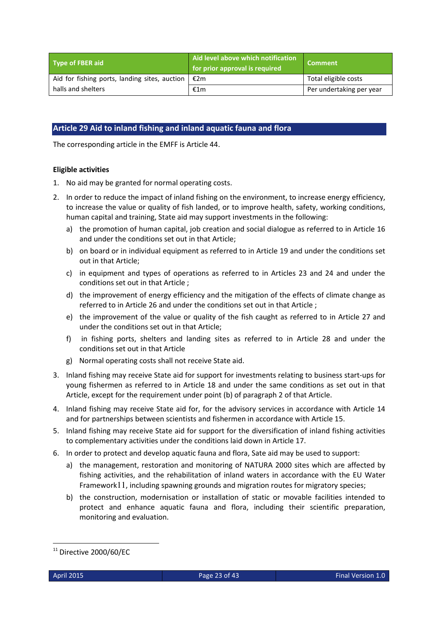| Type of FBER aid                                                 | Aid level above which notification<br>for prior approval is required | <b>Comment</b>           |
|------------------------------------------------------------------|----------------------------------------------------------------------|--------------------------|
| Aid for fishing ports, landing sites, auction $\in \mathbb{Z}$ m |                                                                      | Total eligible costs     |
| halls and shelters                                               | €1m                                                                  | Per undertaking per year |

# Article 29 Aid to inland fishing and inland aquatic fauna and flora

The corresponding article in the EMFF is Article 44.

# Eligible activities

- 1. No aid may be granted for normal operating costs.
- 2. In order to reduce the impact of inland fishing on the environment, to increase energy efficiency, to increase the value or quality of fish landed, or to improve health, safety, working conditions, human capital and training, State aid may support investments in the following:
	- a) the promotion of human capital, job creation and social dialogue as referred to in Article 16 and under the conditions set out in that Article;
	- b) on board or in individual equipment as referred to in Article 19 and under the conditions set out in that Article;
	- c) in equipment and types of operations as referred to in Articles 23 and 24 and under the conditions set out in that Article ;
	- d) the improvement of energy efficiency and the mitigation of the effects of climate change as referred to in Article 26 and under the conditions set out in that Article ;
	- e) the improvement of the value or quality of the fish caught as referred to in Article 27 and under the conditions set out in that Article;
	- f) in fishing ports, shelters and landing sites as referred to in Article 28 and under the conditions set out in that Article
	- g) Normal operating costs shall not receive State aid.
- 3. Inland fishing may receive State aid for support for investments relating to business start-ups for young fishermen as referred to in Article 18 and under the same conditions as set out in that Article, except for the requirement under point (b) of paragraph 2 of that Article.
- 4. Inland fishing may receive State aid for, for the advisory services in accordance with Article 14 and for partnerships between scientists and fishermen in accordance with Article 15.
- 5. Inland fishing may receive State aid for support for the diversification of inland fishing activities to complementary activities under the conditions laid down in Article 17.
- 6. In order to protect and develop aquatic fauna and flora, Sate aid may be used to support:
	- a) the management, restoration and monitoring of NATURA 2000 sites which are affected by fishing activities, and the rehabilitation of inland waters in accordance with the EU Water Framework11, including spawning grounds and migration routes for migratory species;
	- b) the construction, modernisation or installation of static or movable facilities intended to protect and enhance aquatic fauna and flora, including their scientific preparation, monitoring and evaluation.

 $11$  Directive 2000/60/EC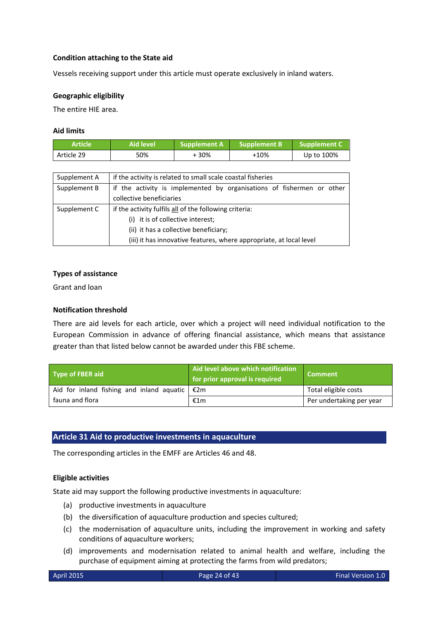# Condition attaching to the State aid

Vessels receiving support under this article must operate exclusively in inland waters.

#### Geographic eligibility

The entire HIE area.

# Aid limits

| <b>Article</b> | <b>Aid level</b> | <b>Supplement A</b> | <b>Supplement B</b> | Supplement C |
|----------------|------------------|---------------------|---------------------|--------------|
| Article 29     | 50%              | +30%                | +10%                | Up to 100%   |

| Supplement A | if the activity is related to small scale coastal fisheries           |  |  |  |
|--------------|-----------------------------------------------------------------------|--|--|--|
| Supplement B | if the activity is implemented by organisations of fishermen or other |  |  |  |
|              | collective beneficiaries                                              |  |  |  |
| Supplement C | if the activity fulfils all of the following criteria:                |  |  |  |
|              | (i) it is of collective interest;                                     |  |  |  |
|              | (ii) it has a collective beneficiary;                                 |  |  |  |
|              | (iii) it has innovative features, where appropriate, at local level   |  |  |  |

#### Types of assistance

Grant and loan

# Notification threshold

There are aid levels for each article, over which a project will need individual notification to the European Commission in advance of offering financial assistance, which means that assistance greater than that listed below cannot be awarded under this FBE scheme.

| <b>Type of FBER aid</b>                             | Aid level above which notification<br>for prior approval is required | <b>Comment</b>           |
|-----------------------------------------------------|----------------------------------------------------------------------|--------------------------|
| Aid for inland fishing and inland aquatic $\in$ £2m |                                                                      | Total eligible costs     |
| fauna and flora                                     | €1m                                                                  | Per undertaking per year |

# Article 31 Aid to productive investments in aquaculture

The corresponding articles in the EMFF are Articles 46 and 48.

#### Eligible activities

State aid may support the following productive investments in aquaculture:

- (a) productive investments in aquaculture
- (b) the diversification of aquaculture production and species cultured;
- (c) the modernisation of aquaculture units, including the improvement in working and safety conditions of aquaculture workers;
- (d) improvements and modernisation related to animal health and welfare, including the purchase of equipment aiming at protecting the farms from wild predators;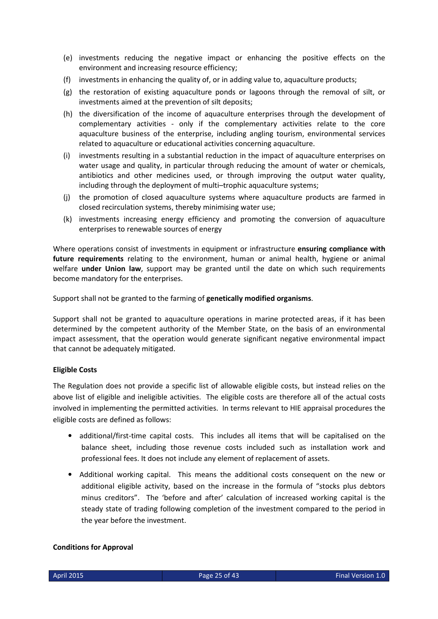- (e) investments reducing the negative impact or enhancing the positive effects on the environment and increasing resource efficiency;
- (f) investments in enhancing the quality of, or in adding value to, aquaculture products;
- (g) the restoration of existing aquaculture ponds or lagoons through the removal of silt, or investments aimed at the prevention of silt deposits;
- (h) the diversification of the income of aquaculture enterprises through the development of complementary activities - only if the complementary activities relate to the core aquaculture business of the enterprise, including angling tourism, environmental services related to aquaculture or educational activities concerning aquaculture.
- (i) investments resulting in a substantial reduction in the impact of aquaculture enterprises on water usage and quality, in particular through reducing the amount of water or chemicals, antibiotics and other medicines used, or through improving the output water quality, including through the deployment of multi–trophic aquaculture systems;
- (j) the promotion of closed aquaculture systems where aquaculture products are farmed in closed recirculation systems, thereby minimising water use;
- (k) investments increasing energy efficiency and promoting the conversion of aquaculture enterprises to renewable sources of energy

Where operations consist of investments in equipment or infrastructure ensuring compliance with future requirements relating to the environment, human or animal health, hygiene or animal welfare under Union law, support may be granted until the date on which such requirements become mandatory for the enterprises.

Support shall not be granted to the farming of genetically modified organisms.

Support shall not be granted to aquaculture operations in marine protected areas, if it has been determined by the competent authority of the Member State, on the basis of an environmental impact assessment, that the operation would generate significant negative environmental impact that cannot be adequately mitigated.

# Eligible Costs

The Regulation does not provide a specific list of allowable eligible costs, but instead relies on the above list of eligible and ineligible activities. The eligible costs are therefore all of the actual costs involved in implementing the permitted activities. In terms relevant to HIE appraisal procedures the eligible costs are defined as follows:

- additional/first-time capital costs. This includes all items that will be capitalised on the balance sheet, including those revenue costs included such as installation work and professional fees. It does not include any element of replacement of assets.
- Additional working capital. This means the additional costs consequent on the new or additional eligible activity, based on the increase in the formula of "stocks plus debtors minus creditors". The 'before and after' calculation of increased working capital is the steady state of trading following completion of the investment compared to the period in the year before the investment.

# Conditions for Approval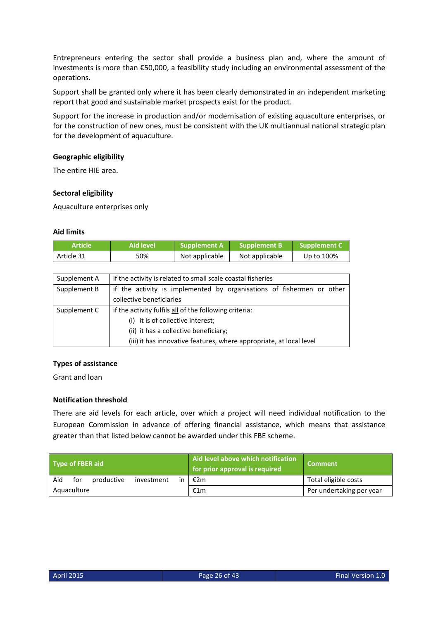Entrepreneurs entering the sector shall provide a business plan and, where the amount of investments is more than €50,000, a feasibility study including an environmental assessment of the operations.

Support shall be granted only where it has been clearly demonstrated in an independent marketing report that good and sustainable market prospects exist for the product.

Support for the increase in production and/or modernisation of existing aquaculture enterprises, or for the construction of new ones, must be consistent with the UK multiannual national strategic plan for the development of aquaculture.

# Geographic eligibility

The entire HIE area.

#### Sectoral eligibility

Aquaculture enterprises only

#### Aid limits

| <b>Article</b> | <b>Aid level</b> | Supplement A   | Supplement B   | <b>Supplement C</b> |
|----------------|------------------|----------------|----------------|---------------------|
| Article 31     | 50%              | Not applicable | Not applicable | Up to 100%          |

| Supplement A | if the activity is related to small scale coastal fisheries           |
|--------------|-----------------------------------------------------------------------|
| Supplement B |                                                                       |
|              | if the activity is implemented by organisations of fishermen or other |
|              | collective beneficiaries                                              |
| Supplement C | if the activity fulfils all of the following criteria:                |
|              | (i) it is of collective interest;                                     |
|              | (ii) it has a collective beneficiary;                                 |
|              | (iii) it has innovative features, where appropriate, at local level   |

# Types of assistance

Grant and loan

# Notification threshold

There are aid levels for each article, over which a project will need individual notification to the European Commission in advance of offering financial assistance, which means that assistance greater than that listed below cannot be awarded under this FBE scheme.

|     | <b>Type of FBER aid</b> |            |            |    | Aid level above which notification<br>for prior approval is required | <b>Comment</b>           |
|-----|-------------------------|------------|------------|----|----------------------------------------------------------------------|--------------------------|
| Aid | for                     | productive | investment | in | €2m                                                                  | Total eligible costs     |
|     | Aquaculture             |            |            |    | €1m                                                                  | Per undertaking per year |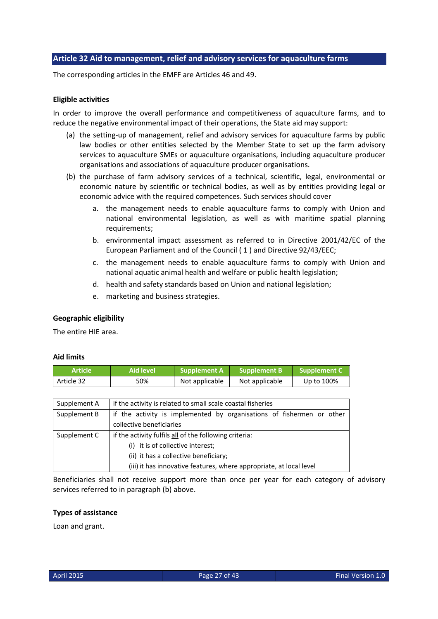# Article 32 Aid to management, relief and advisory services for aquaculture farms

The corresponding articles in the EMFF are Articles 46 and 49.

#### Eligible activities

In order to improve the overall performance and competitiveness of aquaculture farms, and to reduce the negative environmental impact of their operations, the State aid may support:

- (a) the setting-up of management, relief and advisory services for aquaculture farms by public law bodies or other entities selected by the Member State to set up the farm advisory services to aquaculture SMEs or aquaculture organisations, including aquaculture producer organisations and associations of aquaculture producer organisations.
- (b) the purchase of farm advisory services of a technical, scientific, legal, environmental or economic nature by scientific or technical bodies, as well as by entities providing legal or economic advice with the required competences. Such services should cover
	- a. the management needs to enable aquaculture farms to comply with Union and national environmental legislation, as well as with maritime spatial planning requirements;
	- b. environmental impact assessment as referred to in Directive 2001/42/EC of the European Parliament and of the Council ( 1 ) and Directive 92/43/EEC;
	- c. the management needs to enable aquaculture farms to comply with Union and national aquatic animal health and welfare or public health legislation;
	- d. health and safety standards based on Union and national legislation;
	- e. marketing and business strategies.

#### Geographic eligibility

The entire HIE area.

#### Aid limits

| <b>Article</b> | 'Aid level. | Supplement A   | ' Supplement B | Supplement C |
|----------------|-------------|----------------|----------------|--------------|
| Article 32     | 50%         | Not applicable | Not applicable | Up to 100%   |

| Supplement A | if the activity is related to small scale coastal fisheries           |  |  |  |
|--------------|-----------------------------------------------------------------------|--|--|--|
| Supplement B | if the activity is implemented by organisations of fishermen or other |  |  |  |
|              | collective beneficiaries                                              |  |  |  |
| Supplement C | if the activity fulfils all of the following criteria:                |  |  |  |
|              | (i) it is of collective interest;                                     |  |  |  |
|              | (ii) it has a collective beneficiary;                                 |  |  |  |
|              | (iii) it has innovative features, where appropriate, at local level   |  |  |  |

Beneficiaries shall not receive support more than once per year for each category of advisory services referred to in paragraph (b) above.

#### Types of assistance

Loan and grant.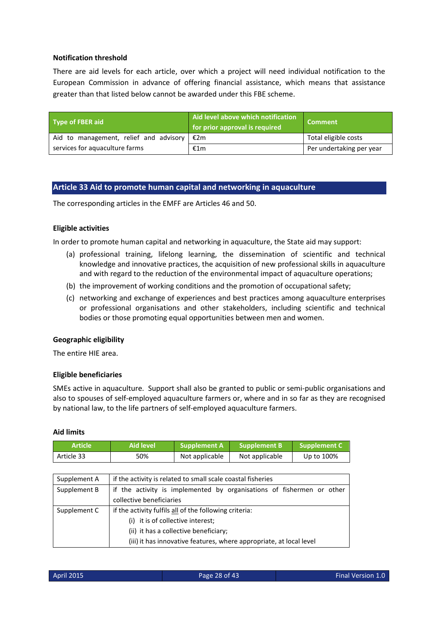# Notification threshold

There are aid levels for each article, over which a project will need individual notification to the European Commission in advance of offering financial assistance, which means that assistance greater than that listed below cannot be awarded under this FBE scheme.

| <b>Type of FBER aid</b>                | Aid level above which notification<br>for prior approval is required | <b>Comment</b>           |
|----------------------------------------|----------------------------------------------------------------------|--------------------------|
| Aid to management, relief and advisory | €2m                                                                  | Total eligible costs     |
| services for aquaculture farms         | €1m                                                                  | Per undertaking per year |

# Article 33 Aid to promote human capital and networking in aquaculture

The corresponding articles in the EMFF are Articles 46 and 50.

#### Eligible activities

In order to promote human capital and networking in aquaculture, the State aid may support:

- (a) professional training, lifelong learning, the dissemination of scientific and technical knowledge and innovative practices, the acquisition of new professional skills in aquaculture and with regard to the reduction of the environmental impact of aquaculture operations;
- (b) the improvement of working conditions and the promotion of occupational safety;
- (c) networking and exchange of experiences and best practices among aquaculture enterprises or professional organisations and other stakeholders, including scientific and technical bodies or those promoting equal opportunities between men and women.

# Geographic eligibility

The entire HIE area.

#### Eligible beneficiaries

SMEs active in aquaculture. Support shall also be granted to public or semi-public organisations and also to spouses of self-employed aquaculture farmers or, where and in so far as they are recognised by national law, to the life partners of self-employed aquaculture farmers.

#### Aid limits

| <b>Article</b> | 'Aid level. | <b>Supplement A</b> | <b>Supplement B</b> | <b>Supplement C</b> |
|----------------|-------------|---------------------|---------------------|---------------------|
| Article 33     | 50%         | Not applicable      | Not applicable      | Up to 100%          |

| Supplement A | if the activity is related to small scale coastal fisheries                                                                                                                                                 |
|--------------|-------------------------------------------------------------------------------------------------------------------------------------------------------------------------------------------------------------|
| Supplement B | if the activity is implemented by organisations of fishermen or other<br>collective beneficiaries                                                                                                           |
| Supplement C | if the activity fulfils all of the following criteria:<br>(i) it is of collective interest;<br>(ii) it has a collective beneficiary;<br>(iii) it has innovative features, where appropriate, at local level |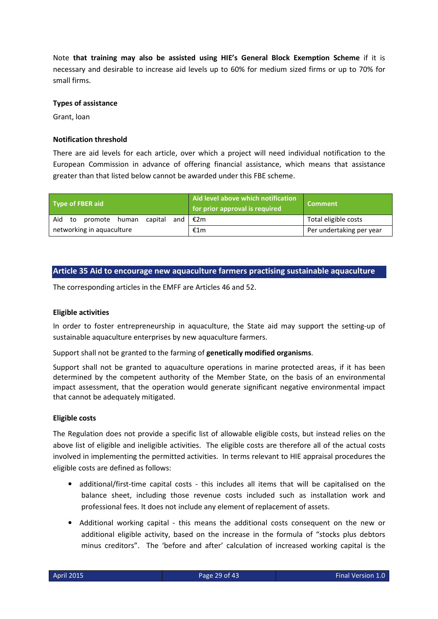Note that training may also be assisted using HIE's General Block Exemption Scheme if it is necessary and desirable to increase aid levels up to 60% for medium sized firms or up to 70% for small firms.

#### Types of assistance

Grant, loan

# Notification threshold

There are aid levels for each article, over which a project will need individual notification to the European Commission in advance of offering financial assistance, which means that assistance greater than that listed below cannot be awarded under this FBE scheme.

| <b>Type of FBER aid</b>                   | Aid level above which notification<br>for prior approval is required | <b>Comment</b>           |
|-------------------------------------------|----------------------------------------------------------------------|--------------------------|
| Aid<br>promote human capital<br>and<br>to | €2m                                                                  | Total eligible costs     |
| networking in aquaculture                 | €1m                                                                  | Per undertaking per year |

# Article 35 Aid to encourage new aquaculture farmers practising sustainable aquaculture

The corresponding articles in the EMFF are Articles 46 and 52.

#### Eligible activities

In order to foster entrepreneurship in aquaculture, the State aid may support the setting-up of sustainable aquaculture enterprises by new aquaculture farmers.

Support shall not be granted to the farming of genetically modified organisms.

Support shall not be granted to aquaculture operations in marine protected areas, if it has been determined by the competent authority of the Member State, on the basis of an environmental impact assessment, that the operation would generate significant negative environmental impact that cannot be adequately mitigated.

#### Eligible costs

The Regulation does not provide a specific list of allowable eligible costs, but instead relies on the above list of eligible and ineligible activities. The eligible costs are therefore all of the actual costs involved in implementing the permitted activities. In terms relevant to HIE appraisal procedures the eligible costs are defined as follows:

- additional/first-time capital costs this includes all items that will be capitalised on the balance sheet, including those revenue costs included such as installation work and professional fees. It does not include any element of replacement of assets.
- Additional working capital this means the additional costs consequent on the new or additional eligible activity, based on the increase in the formula of "stocks plus debtors minus creditors". The 'before and after' calculation of increased working capital is the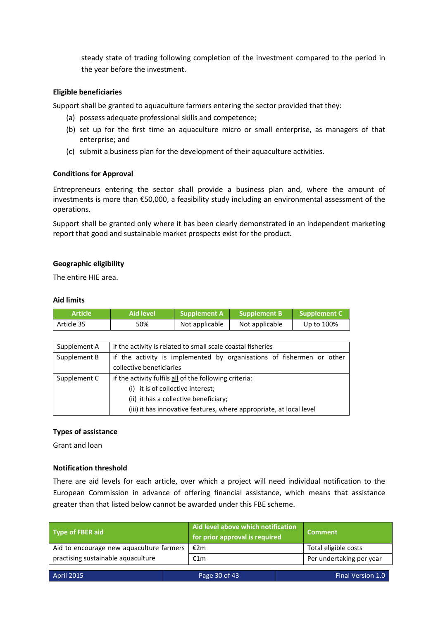steady state of trading following completion of the investment compared to the period in the year before the investment.

# Eligible beneficiaries

Support shall be granted to aquaculture farmers entering the sector provided that they:

- (a) possess adequate professional skills and competence;
- (b) set up for the first time an aquaculture micro or small enterprise, as managers of that enterprise; and
- (c) submit a business plan for the development of their aquaculture activities.

#### Conditions for Approval

Entrepreneurs entering the sector shall provide a business plan and, where the amount of investments is more than €50,000, a feasibility study including an environmental assessment of the operations.

Support shall be granted only where it has been clearly demonstrated in an independent marketing report that good and sustainable market prospects exist for the product.

#### Geographic eligibility

The entire HIE area.

#### Aid limits

| <b>Article</b> | <b>Aid level</b> | Supplement A   | <b>Supplement B</b> | Supplement C |
|----------------|------------------|----------------|---------------------|--------------|
| Article 35     | 50%              | Not applicable | Not applicable      | Up to 100%   |

| Supplement A | if the activity is related to small scale coastal fisheries           |  |  |
|--------------|-----------------------------------------------------------------------|--|--|
| Supplement B | if the activity is implemented by organisations of fishermen or other |  |  |
|              | collective beneficiaries                                              |  |  |
| Supplement C | if the activity fulfils all of the following criteria:                |  |  |
|              | (i) it is of collective interest;                                     |  |  |
|              | (ii) it has a collective beneficiary;                                 |  |  |
|              | (iii) it has innovative features, where appropriate, at local level   |  |  |

#### Types of assistance

Grant and loan

#### Notification threshold

There are aid levels for each article, over which a project will need individual notification to the European Commission in advance of offering financial assistance, which means that assistance greater than that listed below cannot be awarded under this FBE scheme.

| Type of FBER aid                         |     | Aid level above which notification<br>for prior approval is required |  | <b>Comment</b>           |
|------------------------------------------|-----|----------------------------------------------------------------------|--|--------------------------|
| Aid to encourage new aquaculture farmers | €2m |                                                                      |  | Total eligible costs     |
| practising sustainable aquaculture       |     | €1m                                                                  |  | Per undertaking per year |
|                                          |     |                                                                      |  |                          |
| <b>April 2015</b>                        |     | Page 30 of 43                                                        |  | Final Version 1.0        |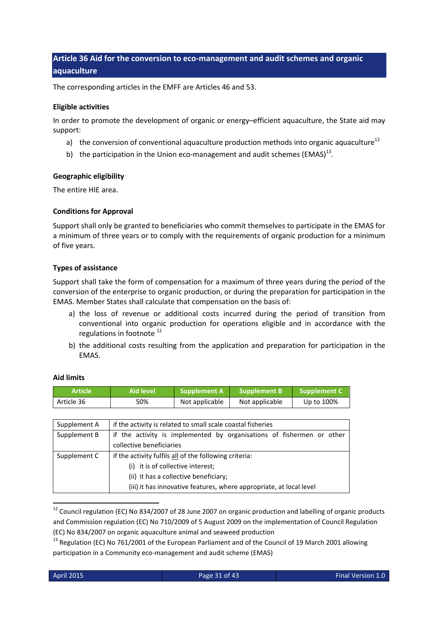# Article 36 Aid for the conversion to eco-management and audit schemes and organic aquaculture

The corresponding articles in the EMFF are Articles 46 and 53.

# Eligible activities

In order to promote the development of organic or energy–efficient aquaculture, the State aid may support:

- a) the conversion of conventional aquaculture production methods into organic aquaculture<sup>12</sup>
- b) the participation in the Union eco-management and audit schemes (EMAS) $^{13}$ .

#### Geographic eligibility

The entire HIE area.

# Conditions for Approval

Support shall only be granted to beneficiaries who commit themselves to participate in the EMAS for a minimum of three years or to comply with the requirements of organic production for a minimum of five years.

#### Types of assistance

Support shall take the form of compensation for a maximum of three years during the period of the conversion of the enterprise to organic production, or during the preparation for participation in the EMAS. Member States shall calculate that compensation on the basis of:

- a) the loss of revenue or additional costs incurred during the period of transition from conventional into organic production for operations eligible and in accordance with the regulations in footnote<sup>12</sup>
- b) the additional costs resulting from the application and preparation for participation in the EMAS.

| <b>Article</b> | <b>Aid level</b>                                                      | <b>Supplement A</b>                   | <b>Supplement B</b> | <b>Supplement C</b> |
|----------------|-----------------------------------------------------------------------|---------------------------------------|---------------------|---------------------|
| Article 36     | 50%                                                                   | Not applicable                        | Not applicable      | Up to 100%          |
|                |                                                                       |                                       |                     |                     |
| Supplement A   | if the activity is related to small scale coastal fisheries           |                                       |                     |                     |
| Supplement B   | if the activity is implemented by organisations of fishermen or other |                                       |                     |                     |
|                | collective beneficiaries                                              |                                       |                     |                     |
| Supplement C   | if the activity fulfils all of the following criteria:                |                                       |                     |                     |
|                | (i) it is of collective interest;                                     |                                       |                     |                     |
|                |                                                                       | (ii) it has a collective beneficiary; |                     |                     |

# Aid limits

(iii) it has innovative features, where appropriate, at local level

l <sup>12</sup> Council regulation (EC) No 834/2007 of 28 June 2007 on organic production and labelling of organic products and Commission regulation (EC) No 710/2009 of 5 August 2009 on the implementation of Council Regulation (EC) No 834/2007 on organic aquaculture animal and seaweed production

 $13$  Regulation (EC) No 761/2001 of the European Parliament and of the Council of 19 March 2001 allowing participation in a Community eco-management and audit scheme (EMAS)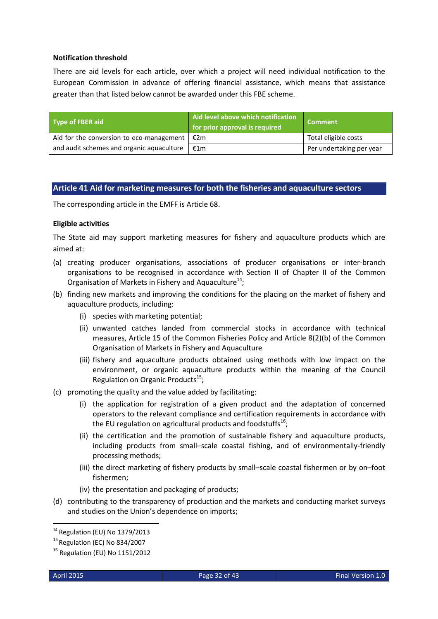# Notification threshold

There are aid levels for each article, over which a project will need individual notification to the European Commission in advance of offering financial assistance, which means that assistance greater than that listed below cannot be awarded under this FBE scheme.

| <b>Type of FBER aid</b>                                     | Aid level above which notification<br>for prior approval is required | <b>Comment</b>           |
|-------------------------------------------------------------|----------------------------------------------------------------------|--------------------------|
| Aid for the conversion to eco-management $\in \mathbb{Z}$ m |                                                                      | Total eligible costs     |
| and audit schemes and organic aquaculture $\pm 1$ m         |                                                                      | Per undertaking per year |

# Article 41 Aid for marketing measures for both the fisheries and aquaculture sectors

The corresponding article in the EMFF is Article 68.

#### Eligible activities

The State aid may support marketing measures for fishery and aquaculture products which are aimed at:

- (a) creating producer organisations, associations of producer organisations or inter-branch organisations to be recognised in accordance with Section II of Chapter II of the Common Organisation of Markets in Fishery and Aquaculture<sup>14</sup>;
- (b) finding new markets and improving the conditions for the placing on the market of fishery and aquaculture products, including:
	- (i) species with marketing potential;
	- (ii) unwanted catches landed from commercial stocks in accordance with technical measures, Article 15 of the Common Fisheries Policy and Article 8(2)(b) of the Common Organisation of Markets in Fishery and Aquaculture
	- (iii) fishery and aquaculture products obtained using methods with low impact on the environment, or organic aquaculture products within the meaning of the Council Regulation on Organic Products<sup>15</sup>;
- (c) promoting the quality and the value added by facilitating:
	- (i) the application for registration of a given product and the adaptation of concerned operators to the relevant compliance and certification requirements in accordance with the EU regulation on agricultural products and foodstuffs<sup>16</sup>;
	- (ii) the certification and the promotion of sustainable fishery and aquaculture products, including products from small–scale coastal fishing, and of environmentally-friendly processing methods;
	- (iii) the direct marketing of fishery products by small–scale coastal fishermen or by on–foot fishermen;
	- (iv) the presentation and packaging of products;
- (d) contributing to the transparency of production and the markets and conducting market surveys and studies on the Union's dependence on imports;

 $14$  Regulation (EU) No 1379/2013

 $15$  Regulation (EC) No 834/2007

 $16$  Regulation (EU) No 1151/2012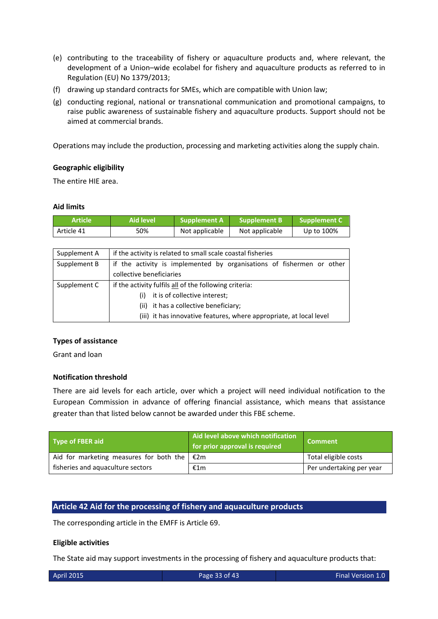- (e) contributing to the traceability of fishery or aquaculture products and, where relevant, the development of a Union–wide ecolabel for fishery and aquaculture products as referred to in Regulation (EU) No 1379/2013;
- (f) drawing up standard contracts for SMEs, which are compatible with Union law;
- (g) conducting regional, national or transnational communication and promotional campaigns, to raise public awareness of sustainable fishery and aquaculture products. Support should not be aimed at commercial brands.

Operations may include the production, processing and marketing activities along the supply chain.

# Geographic eligibility

The entire HIE area.

#### Aid limits

| <b>Article</b> | <b>Aid level</b> | Supplement A   | <b>Supplement B</b> | Supplement C |
|----------------|------------------|----------------|---------------------|--------------|
| Article 41     | 50%              | Not applicable | Not applicable      | Up to 100%   |

| Supplement A | if the activity is related to small scale coastal fisheries           |  |  |
|--------------|-----------------------------------------------------------------------|--|--|
| Supplement B | if the activity is implemented by organisations of fishermen or other |  |  |
|              | collective beneficiaries                                              |  |  |
| Supplement C | if the activity fulfils all of the following criteria:                |  |  |
|              | it is of collective interest;<br>(i)                                  |  |  |
|              | it has a collective beneficiary;<br>(ii)                              |  |  |
|              | (iii) it has innovative features, where appropriate, at local level   |  |  |

# Types of assistance

Grant and loan

# Notification threshold

There are aid levels for each article, over which a project will need individual notification to the European Commission in advance of offering financial assistance, which means that assistance greater than that listed below cannot be awarded under this FBE scheme.

| Type of FBER aid                                  | Aid level above which notification<br>for prior approval is required | <b>Comment</b>           |
|---------------------------------------------------|----------------------------------------------------------------------|--------------------------|
| Aid for marketing measures for both the $\in$ £2m |                                                                      | Total eligible costs     |
| fisheries and aquaculture sectors                 | €1m                                                                  | Per undertaking per year |

# Article 42 Aid for the processing of fishery and aquaculture products

The corresponding article in the EMFF is Article 69.

# Eligible activities

The State aid may support investments in the processing of fishery and aquaculture products that: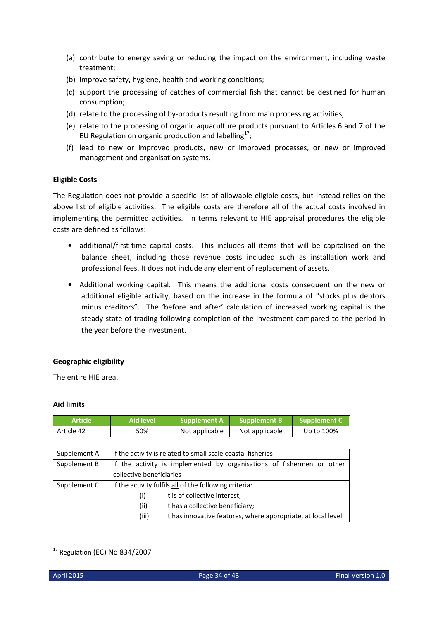- (a) contribute to energy saving or reducing the impact on the environment, including waste treatment;
- (b) improve safety, hygiene, health and working conditions;
- (c) support the processing of catches of commercial fish that cannot be destined for human consumption;
- (d) relate to the processing of by-products resulting from main processing activities;
- (e) relate to the processing of organic aquaculture products pursuant to Articles 6 and 7 of the EU Regulation on organic production and labelling<sup>17</sup>;
- (f) lead to new or improved products, new or improved processes, or new or improved management and organisation systems.

# Eligible Costs

The Regulation does not provide a specific list of allowable eligible costs, but instead relies on the above list of eligible activities. The eligible costs are therefore all of the actual costs involved in implementing the permitted activities. In terms relevant to HIE appraisal procedures the eligible costs are defined as follows:

- additional/first-time capital costs. This includes all items that will be capitalised on the balance sheet, including those revenue costs included such as installation work and professional fees. It does not include any element of replacement of assets.
- Additional working capital. This means the additional costs consequent on the new or additional eligible activity, based on the increase in the formula of "stocks plus debtors minus creditors". The 'before and after' calculation of increased working capital is the steady state of trading following completion of the investment compared to the period in the year before the investment.

# Geographic eligibility

The entire HIE area.

# Aid limits

| 'Article i | 'Aid level. | Supplement A   | ' Supplement B | Supplement C |
|------------|-------------|----------------|----------------|--------------|
| Article 42 | 50%         | Not applicable | Not applicable | Up to 100%   |

| Supplement A | if the activity is related to small scale coastal fisheries            |  |
|--------------|------------------------------------------------------------------------|--|
| Supplement B | if the activity is implemented by organisations of fishermen or other  |  |
|              | collective beneficiaries                                               |  |
| Supplement C | if the activity fulfils all of the following criteria:                 |  |
|              | it is of collective interest;<br>(i)                                   |  |
|              | (ii)<br>it has a collective beneficiary;                               |  |
|              | it has innovative features, where appropriate, at local level<br>(iii) |  |

 $17$  Regulation (EC) No 834/2007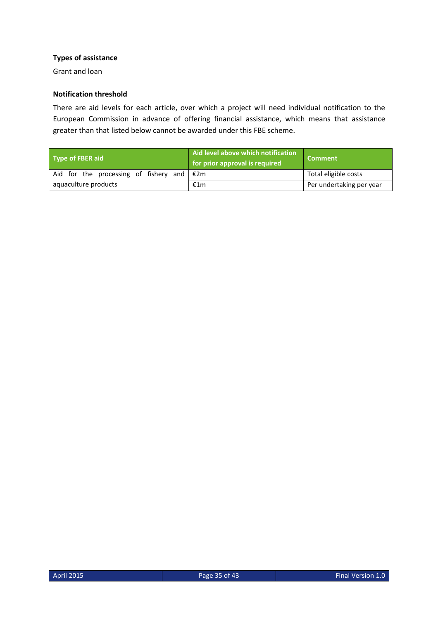# Types of assistance

Grant and loan

# Notification threshold

There are aid levels for each article, over which a project will need individual notification to the European Commission in advance of offering financial assistance, which means that assistance greater than that listed below cannot be awarded under this FBE scheme.

| Type of FBER aid                                         | Aid level above which notification<br>for prior approval is required | <b>Comment</b>           |
|----------------------------------------------------------|----------------------------------------------------------------------|--------------------------|
| Aid for the processing of fishery and $\in \mathbb{Z}$ m |                                                                      | Total eligible costs     |
| aquaculture products                                     | €1m                                                                  | Per undertaking per year |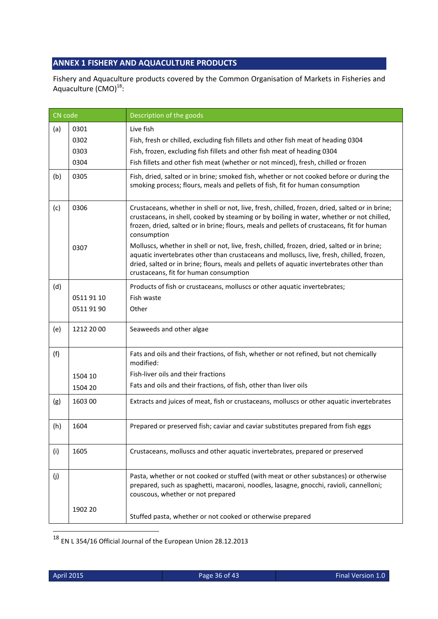# ANNEX 1 FISHERY AND AQUACULTURE PRODUCTS

Fishery and Aquaculture products covered by the Common Organisation of Markets in Fisheries and Aquaculture (CMO)<sup>18</sup>:

| CN code |            | Description of the goods                                                                                                                                                                                                                                                                                                      |  |
|---------|------------|-------------------------------------------------------------------------------------------------------------------------------------------------------------------------------------------------------------------------------------------------------------------------------------------------------------------------------|--|
| (a)     | 0301       | Live fish                                                                                                                                                                                                                                                                                                                     |  |
|         | 0302       | Fish, fresh or chilled, excluding fish fillets and other fish meat of heading 0304                                                                                                                                                                                                                                            |  |
|         | 0303       | Fish, frozen, excluding fish fillets and other fish meat of heading 0304                                                                                                                                                                                                                                                      |  |
|         | 0304       | Fish fillets and other fish meat (whether or not minced), fresh, chilled or frozen                                                                                                                                                                                                                                            |  |
| (b)     | 0305       | Fish, dried, salted or in brine; smoked fish, whether or not cooked before or during the<br>smoking process; flours, meals and pellets of fish, fit for human consumption                                                                                                                                                     |  |
| (c)     | 0306       | Crustaceans, whether in shell or not, live, fresh, chilled, frozen, dried, salted or in brine;<br>crustaceans, in shell, cooked by steaming or by boiling in water, whether or not chilled,<br>frozen, dried, salted or in brine; flours, meals and pellets of crustaceans, fit for human<br>consumption                      |  |
|         | 0307       | Molluscs, whether in shell or not, live, fresh, chilled, frozen, dried, salted or in brine;<br>aquatic invertebrates other than crustaceans and molluscs, live, fresh, chilled, frozen,<br>dried, salted or in brine; flours, meals and pellets of aquatic invertebrates other than<br>crustaceans, fit for human consumption |  |
| (d)     |            | Products of fish or crustaceans, molluscs or other aquatic invertebrates;                                                                                                                                                                                                                                                     |  |
|         | 05119110   | Fish waste                                                                                                                                                                                                                                                                                                                    |  |
|         | 05119190   | Other                                                                                                                                                                                                                                                                                                                         |  |
| (e)     | 1212 20 00 | Seaweeds and other algae                                                                                                                                                                                                                                                                                                      |  |
| (f)     |            | Fats and oils and their fractions, of fish, whether or not refined, but not chemically<br>modified:                                                                                                                                                                                                                           |  |
|         | 1504 10    | Fish-liver oils and their fractions                                                                                                                                                                                                                                                                                           |  |
|         | 1504 20    | Fats and oils and their fractions, of fish, other than liver oils                                                                                                                                                                                                                                                             |  |
| (g)     | 1603 00    | Extracts and juices of meat, fish or crustaceans, molluscs or other aquatic invertebrates                                                                                                                                                                                                                                     |  |
| (h)     | 1604       | Prepared or preserved fish; caviar and caviar substitutes prepared from fish eggs                                                                                                                                                                                                                                             |  |
| (i)     | 1605       | Crustaceans, molluscs and other aquatic invertebrates, prepared or preserved                                                                                                                                                                                                                                                  |  |
| (j)     |            | Pasta, whether or not cooked or stuffed (with meat or other substances) or otherwise<br>prepared, such as spaghetti, macaroni, noodles, lasagne, gnocchi, ravioli, cannelloni;<br>couscous, whether or not prepared                                                                                                           |  |
|         | 1902 20    | Stuffed pasta, whether or not cooked or otherwise prepared                                                                                                                                                                                                                                                                    |  |

 $^{18}$  EN L 354/16 Official Journal of the European Union 28.12.2013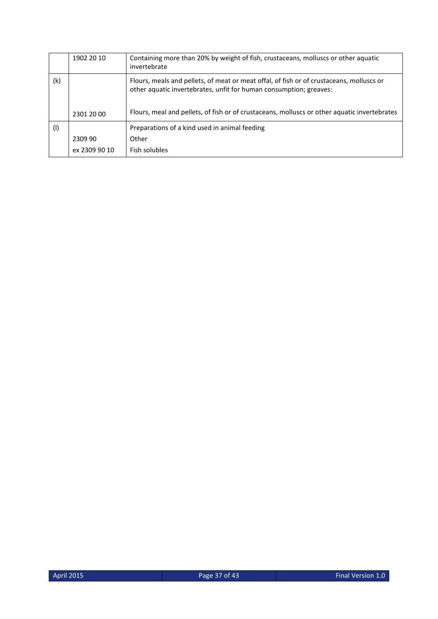|     | 1902 20 10    | Containing more than 20% by weight of fish, crustaceans, molluscs or other aquatic<br>invertebrate                                                             |  |
|-----|---------------|----------------------------------------------------------------------------------------------------------------------------------------------------------------|--|
| (k) |               | Flours, meals and pellets, of meat or meat offal, of fish or of crustaceans, molluscs or<br>other aquatic invertebrates, unfit for human consumption; greaves: |  |
|     | 2301 20 00    | Flours, meal and pellets, of fish or of crustaceans, molluscs or other aquatic invertebrates                                                                   |  |
| (1) |               | Preparations of a kind used in animal feeding                                                                                                                  |  |
|     | 2309 90       | Other                                                                                                                                                          |  |
|     | ex 2309 90 10 | Fish solubles                                                                                                                                                  |  |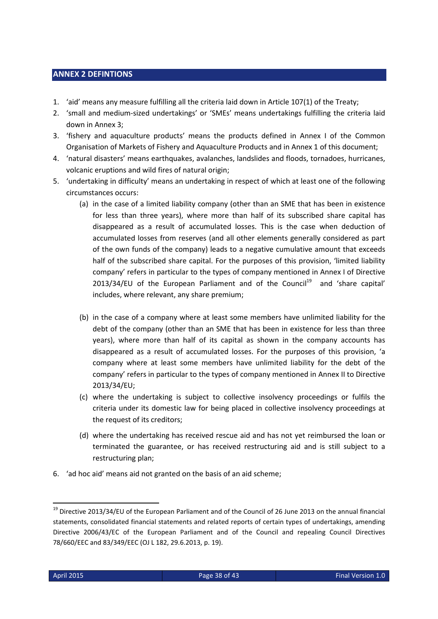# ANNEX 2 DEFINTIONS

- 1. 'aid' means any measure fulfilling all the criteria laid down in Article 107(1) of the Treaty;
- 2. 'small and medium-sized undertakings' or 'SMEs' means undertakings fulfilling the criteria laid down in Annex 3;
- 3. 'fishery and aquaculture products' means the products defined in Annex I of the Common Organisation of Markets of Fishery and Aquaculture Products and in Annex 1 of this document;
- 4. 'natural disasters' means earthquakes, avalanches, landslides and floods, tornadoes, hurricanes, volcanic eruptions and wild fires of natural origin;
- 5. 'undertaking in difficulty' means an undertaking in respect of which at least one of the following circumstances occurs:
	- (a) in the case of a limited liability company (other than an SME that has been in existence for less than three years), where more than half of its subscribed share capital has disappeared as a result of accumulated losses. This is the case when deduction of accumulated losses from reserves (and all other elements generally considered as part of the own funds of the company) leads to a negative cumulative amount that exceeds half of the subscribed share capital. For the purposes of this provision, 'limited liability company' refers in particular to the types of company mentioned in Annex I of Directive  $2013/34/EU$  of the European Parliament and of the Council<sup>19</sup> and 'share capital' includes, where relevant, any share premium;
	- (b) in the case of a company where at least some members have unlimited liability for the debt of the company (other than an SME that has been in existence for less than three years), where more than half of its capital as shown in the company accounts has disappeared as a result of accumulated losses. For the purposes of this provision, 'a company where at least some members have unlimited liability for the debt of the company' refers in particular to the types of company mentioned in Annex II to Directive 2013/34/EU;
	- (c) where the undertaking is subject to collective insolvency proceedings or fulfils the criteria under its domestic law for being placed in collective insolvency proceedings at the request of its creditors;
	- (d) where the undertaking has received rescue aid and has not yet reimbursed the loan or terminated the guarantee, or has received restructuring aid and is still subject to a restructuring plan;
- 6. 'ad hoc aid' means aid not granted on the basis of an aid scheme;

<sup>&</sup>lt;sup>19</sup> Directive 2013/34/EU of the European Parliament and of the Council of 26 June 2013 on the annual financial statements, consolidated financial statements and related reports of certain types of undertakings, amending Directive 2006/43/EC of the European Parliament and of the Council and repealing Council Directives 78/660/EEC and 83/349/EEC (OJ L 182, 29.6.2013, p. 19).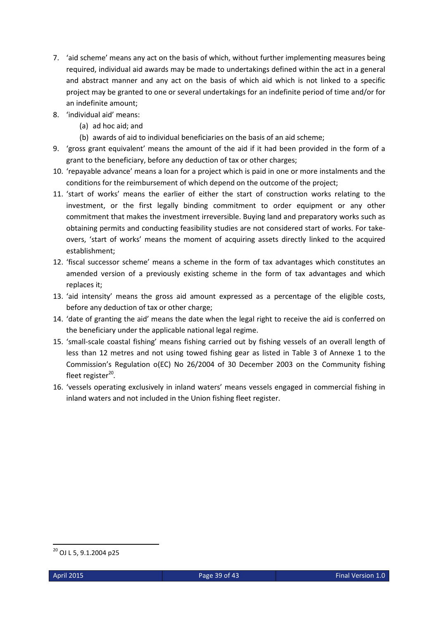- 7. 'aid scheme' means any act on the basis of which, without further implementing measures being required, individual aid awards may be made to undertakings defined within the act in a general and abstract manner and any act on the basis of which aid which is not linked to a specific project may be granted to one or several undertakings for an indefinite period of time and/or for an indefinite amount;
- 8. 'individual aid' means:
	- (a) ad hoc aid; and
	- (b) awards of aid to individual beneficiaries on the basis of an aid scheme;
- 9. 'gross grant equivalent' means the amount of the aid if it had been provided in the form of a grant to the beneficiary, before any deduction of tax or other charges;
- 10. 'repayable advance' means a loan for a project which is paid in one or more instalments and the conditions for the reimbursement of which depend on the outcome of the project;
- 11. 'start of works' means the earlier of either the start of construction works relating to the investment, or the first legally binding commitment to order equipment or any other commitment that makes the investment irreversible. Buying land and preparatory works such as obtaining permits and conducting feasibility studies are not considered start of works. For takeovers, 'start of works' means the moment of acquiring assets directly linked to the acquired establishment;
- 12. 'fiscal successor scheme' means a scheme in the form of tax advantages which constitutes an amended version of a previously existing scheme in the form of tax advantages and which replaces it;
- 13. 'aid intensity' means the gross aid amount expressed as a percentage of the eligible costs, before any deduction of tax or other charge;
- 14. 'date of granting the aid' means the date when the legal right to receive the aid is conferred on the beneficiary under the applicable national legal regime.
- 15. 'small-scale coastal fishing' means fishing carried out by fishing vessels of an overall length of less than 12 metres and not using towed fishing gear as listed in Table 3 of Annexe 1 to the Commission's Regulation o(EC) No 26/2004 of 30 December 2003 on the Community fishing fleet register<sup>20</sup>.
- 16. 'vessels operating exclusively in inland waters' means vessels engaged in commercial fishing in inland waters and not included in the Union fishing fleet register.

<sup>20</sup> OJ L 5, 9.1.2004 p25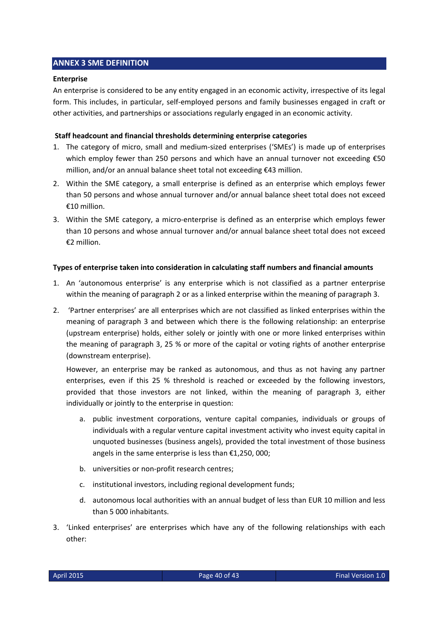# ANNEX 3 SME DEFINITION

#### Enterprise

An enterprise is considered to be any entity engaged in an economic activity, irrespective of its legal form. This includes, in particular, self-employed persons and family businesses engaged in craft or other activities, and partnerships or associations regularly engaged in an economic activity.

# Staff headcount and financial thresholds determining enterprise categories

- 1. The category of micro, small and medium-sized enterprises ('SMEs') is made up of enterprises which employ fewer than 250 persons and which have an annual turnover not exceeding €50 million, and/or an annual balance sheet total not exceeding €43 million.
- 2. Within the SME category, a small enterprise is defined as an enterprise which employs fewer than 50 persons and whose annual turnover and/or annual balance sheet total does not exceed €10 million.
- 3. Within the SME category, a micro-enterprise is defined as an enterprise which employs fewer than 10 persons and whose annual turnover and/or annual balance sheet total does not exceed €2 million.

#### Types of enterprise taken into consideration in calculating staff numbers and financial amounts

- 1. An 'autonomous enterprise' is any enterprise which is not classified as a partner enterprise within the meaning of paragraph 2 or as a linked enterprise within the meaning of paragraph 3.
- 2. 'Partner enterprises' are all enterprises which are not classified as linked enterprises within the meaning of paragraph 3 and between which there is the following relationship: an enterprise (upstream enterprise) holds, either solely or jointly with one or more linked enterprises within the meaning of paragraph 3, 25 % or more of the capital or voting rights of another enterprise (downstream enterprise).

However, an enterprise may be ranked as autonomous, and thus as not having any partner enterprises, even if this 25 % threshold is reached or exceeded by the following investors, provided that those investors are not linked, within the meaning of paragraph 3, either individually or jointly to the enterprise in question:

- a. public investment corporations, venture capital companies, individuals or groups of individuals with a regular venture capital investment activity who invest equity capital in unquoted businesses (business angels), provided the total investment of those business angels in the same enterprise is less than €1,250, 000;
- b. universities or non-profit research centres;
- c. institutional investors, including regional development funds;
- d. autonomous local authorities with an annual budget of less than EUR 10 million and less than 5 000 inhabitants.
- 3. 'Linked enterprises' are enterprises which have any of the following relationships with each other: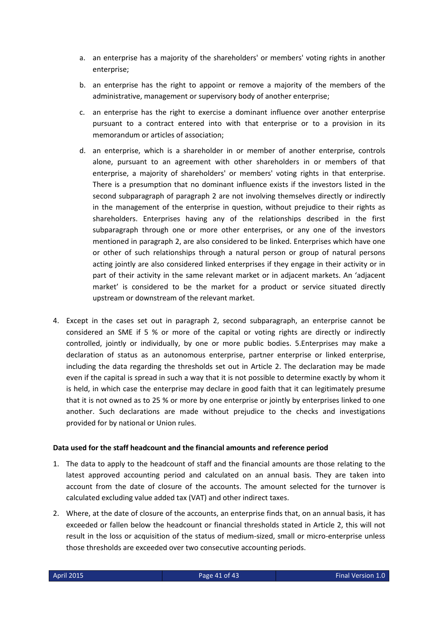- a. an enterprise has a majority of the shareholders' or members' voting rights in another enterprise;
- b. an enterprise has the right to appoint or remove a majority of the members of the administrative, management or supervisory body of another enterprise;
- c. an enterprise has the right to exercise a dominant influence over another enterprise pursuant to a contract entered into with that enterprise or to a provision in its memorandum or articles of association;
- d. an enterprise, which is a shareholder in or member of another enterprise, controls alone, pursuant to an agreement with other shareholders in or members of that enterprise, a majority of shareholders' or members' voting rights in that enterprise. There is a presumption that no dominant influence exists if the investors listed in the second subparagraph of paragraph 2 are not involving themselves directly or indirectly in the management of the enterprise in question, without prejudice to their rights as shareholders. Enterprises having any of the relationships described in the first subparagraph through one or more other enterprises, or any one of the investors mentioned in paragraph 2, are also considered to be linked. Enterprises which have one or other of such relationships through a natural person or group of natural persons acting jointly are also considered linked enterprises if they engage in their activity or in part of their activity in the same relevant market or in adjacent markets. An 'adjacent market' is considered to be the market for a product or service situated directly upstream or downstream of the relevant market.
- 4. Except in the cases set out in paragraph 2, second subparagraph, an enterprise cannot be considered an SME if 5 % or more of the capital or voting rights are directly or indirectly controlled, jointly or individually, by one or more public bodies. 5.Enterprises may make a declaration of status as an autonomous enterprise, partner enterprise or linked enterprise, including the data regarding the thresholds set out in Article 2. The declaration may be made even if the capital is spread in such a way that it is not possible to determine exactly by whom it is held, in which case the enterprise may declare in good faith that it can legitimately presume that it is not owned as to 25 % or more by one enterprise or jointly by enterprises linked to one another. Such declarations are made without prejudice to the checks and investigations provided for by national or Union rules.

# Data used for the staff headcount and the financial amounts and reference period

- 1. The data to apply to the headcount of staff and the financial amounts are those relating to the latest approved accounting period and calculated on an annual basis. They are taken into account from the date of closure of the accounts. The amount selected for the turnover is calculated excluding value added tax (VAT) and other indirect taxes.
- 2. Where, at the date of closure of the accounts, an enterprise finds that, on an annual basis, it has exceeded or fallen below the headcount or financial thresholds stated in Article 2, this will not result in the loss or acquisition of the status of medium-sized, small or micro-enterprise unless those thresholds are exceeded over two consecutive accounting periods.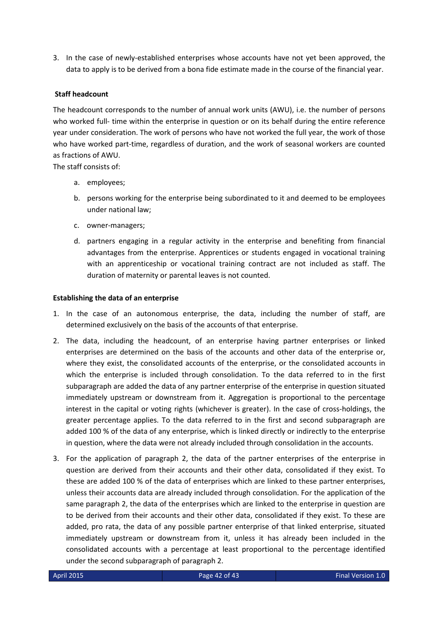3. In the case of newly-established enterprises whose accounts have not yet been approved, the data to apply is to be derived from a bona fide estimate made in the course of the financial year.

# Staff headcount

The headcount corresponds to the number of annual work units (AWU), i.e. the number of persons who worked full- time within the enterprise in question or on its behalf during the entire reference year under consideration. The work of persons who have not worked the full year, the work of those who have worked part-time, regardless of duration, and the work of seasonal workers are counted as fractions of AWU.

The staff consists of:

- a. employees;
- b. persons working for the enterprise being subordinated to it and deemed to be employees under national law;
- c. owner-managers;
- d. partners engaging in a regular activity in the enterprise and benefiting from financial advantages from the enterprise. Apprentices or students engaged in vocational training with an apprenticeship or vocational training contract are not included as staff. The duration of maternity or parental leaves is not counted.

#### Establishing the data of an enterprise

- 1. In the case of an autonomous enterprise, the data, including the number of staff, are determined exclusively on the basis of the accounts of that enterprise.
- 2. The data, including the headcount, of an enterprise having partner enterprises or linked enterprises are determined on the basis of the accounts and other data of the enterprise or, where they exist, the consolidated accounts of the enterprise, or the consolidated accounts in which the enterprise is included through consolidation. To the data referred to in the first subparagraph are added the data of any partner enterprise of the enterprise in question situated immediately upstream or downstream from it. Aggregation is proportional to the percentage interest in the capital or voting rights (whichever is greater). In the case of cross-holdings, the greater percentage applies. To the data referred to in the first and second subparagraph are added 100 % of the data of any enterprise, which is linked directly or indirectly to the enterprise in question, where the data were not already included through consolidation in the accounts.
- 3. For the application of paragraph 2, the data of the partner enterprises of the enterprise in question are derived from their accounts and their other data, consolidated if they exist. To these are added 100 % of the data of enterprises which are linked to these partner enterprises, unless their accounts data are already included through consolidation. For the application of the same paragraph 2, the data of the enterprises which are linked to the enterprise in question are to be derived from their accounts and their other data, consolidated if they exist. To these are added, pro rata, the data of any possible partner enterprise of that linked enterprise, situated immediately upstream or downstream from it, unless it has already been included in the consolidated accounts with a percentage at least proportional to the percentage identified under the second subparagraph of paragraph 2.